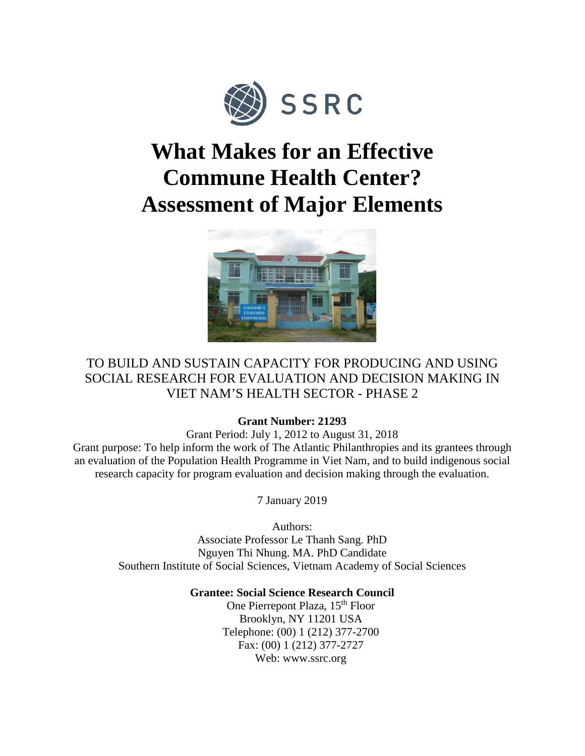

# **What Makes for an Effective Commune Health Center? Assessment of Major Elements**



# TO BUILD AND SUSTAIN CAPACITY FOR PRODUCING AND USING SOCIAL RESEARCH FOR EVALUATION AND DECISION MAKING IN VIET NAM'S HEALTH SECTOR - PHASE 2

# **Grant Number: 21293**

Grant Period: July 1, 2012 to August 31, 2018 Grant purpose: To help inform the work of The Atlantic Philanthropies and its grantees through an evaluation of the Population Health Programme in Viet Nam, and to build indigenous social research capacity for program evaluation and decision making through the evaluation.

7 January 2019

Authors: Associate Professor Le Thanh Sang. PhD Nguyen Thi Nhung. MA. PhD Candidate Southern Institute of Social Sciences, Vietnam Academy of Social Sciences

# **Grantee: Social Science Research Council**

One Pierrepont Plaza, 15<sup>th</sup> Floor Brooklyn, NY 11201 USA Telephone: (00) 1 (212) 377-2700 Fax: (00) 1 (212) 377-2727 Web: www.ssrc.org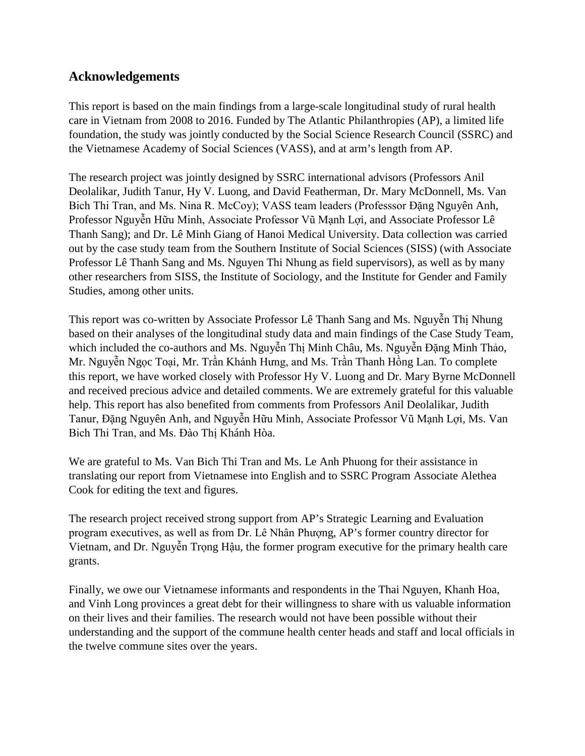# **Acknowledgements**

This report is based on the main findings from a large-scale longitudinal study of rural health care in Vietnam from 2008 to 2016. Funded by The Atlantic Philanthropies (AP), a limited life foundation, the study was jointly conducted by the Social Science Research Council (SSRC) and the Vietnamese Academy of Social Sciences (VASS), and at arm's length from AP.

The research project was jointly designed by SSRC international advisors (Professors Anil Deolalikar, Judith Tanur, Hy V. Luong, and David Featherman, Dr. Mary McDonnell, Ms. Van Bich Thi Tran, and Ms. Nina R. McCoy); VASS team leaders (Professsor Đặng Nguyên Anh, Professor Nguyễn Hữu Minh, Associate Professor Vũ Mạnh Lợi, and Associate Professor Lê Thanh Sang); and Dr. Lê Minh Giang of Hanoi Medical University. Data collection was carried out by the case study team from the Southern Institute of Social Sciences (SISS) (with Associate Professor Lê Thanh Sang and Ms. Nguyen Thi Nhung as field supervisors), as well as by many other researchers from SISS, the Institute of Sociology, and the Institute for Gender and Family Studies, among other units.

This report was co-written by Associate Professor Lê Thanh Sang and Ms. Nguyễn Thị Nhung based on their analyses of the longitudinal study data and main findings of the Case Study Team, which included the co-authors and Ms. Nguyễn Thị Minh Châu, Ms. Nguyễn Đặng Minh Thảo, Mr. Nguyễn Ngọc Toại, Mr. Trần Khánh Hưng, and Ms. Trần Thanh Hồng Lan. To complete this report, we have worked closely with Professor Hy V. Luong and Dr. Mary Byrne McDonnell and received precious advice and detailed comments. We are extremely grateful for this valuable help. This report has also benefited from comments from Professors Anil Deolalikar, Judith Tanur, Đặng Nguyên Anh, and Nguyễn Hữu Minh, Associate Professor Vũ Mạnh Lợi, Ms. Van Bich Thi Tran, and Ms. Đào Thị Khánh Hòa.

We are grateful to Ms. Van Bich Thi Tran and Ms. Le Anh Phuong for their assistance in translating our report from Vietnamese into English and to SSRC Program Associate Alethea Cook for editing the text and figures.

The research project received strong support from AP's Strategic Learning and Evaluation program executives, as well as from Dr. Lê Nhân Phượng, AP's former country director for Vietnam, and Dr. Nguyễn Trọng Hậu, the former program executive for the primary health care grants.

Finally, we owe our Vietnamese informants and respondents in the Thai Nguyen, Khanh Hoa, and Vinh Long provinces a great debt for their willingness to share with us valuable information on their lives and their families. The research would not have been possible without their understanding and the support of the commune health center heads and staff and local officials in the twelve commune sites over the years.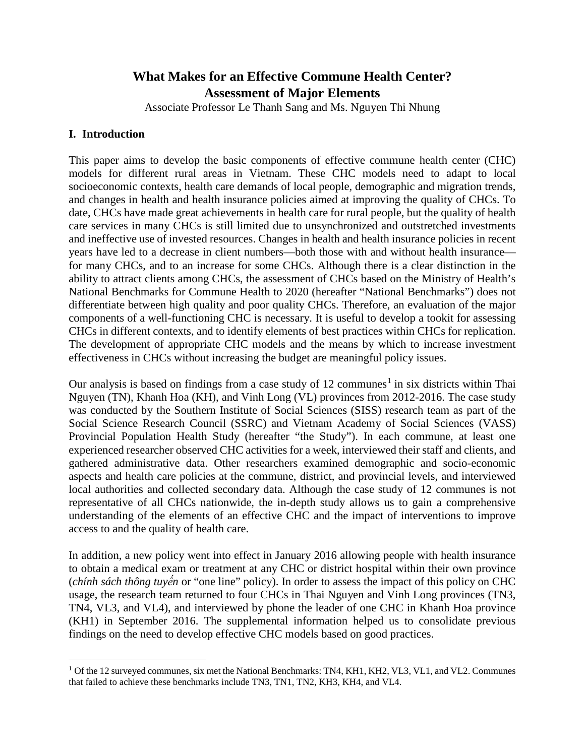# **What Makes for an Effective Commune Health Center? Assessment of Major Elements**

Associate Professor Le Thanh Sang and Ms. Nguyen Thi Nhung

# **I. Introduction**

This paper aims to develop the basic components of effective commune health center (CHC) models for different rural areas in Vietnam. These CHC models need to adapt to local socioeconomic contexts, health care demands of local people, demographic and migration trends, and changes in health and health insurance policies aimed at improving the quality of CHCs. To date, CHCs have made great achievements in health care for rural people, but the quality of health care services in many CHCs is still limited due to unsynchronized and outstretched investments and ineffective use of invested resources. Changes in health and health insurance policies in recent years have led to a decrease in client numbers—both those with and without health insurance for many CHCs, and to an increase for some CHCs. Although there is a clear distinction in the ability to attract clients among CHCs, the assessment of CHCs based on the Ministry of Health's National Benchmarks for Commune Health to 2020 (hereafter "National Benchmarks") does not differentiate between high quality and poor quality CHCs. Therefore, an evaluation of the major components of a well-functioning CHC is necessary. It is useful to develop a tookit for assessing CHCs in different contexts, and to identify elements of best practices within CHCs for replication. The development of appropriate CHC models and the means by which to increase investment effectiveness in CHCs without increasing the budget are meaningful policy issues.

Our analysis is based on findings from a case study of [1](#page-2-0)2 communes<sup>1</sup> in six districts within Thai Nguyen (TN), Khanh Hoa (KH), and Vinh Long (VL) provinces from 2012-2016. The case study was conducted by the Southern Institute of Social Sciences (SISS) research team as part of the Social Science Research Council (SSRC) and Vietnam Academy of Social Sciences (VASS) Provincial Population Health Study (hereafter "the Study"). In each commune, at least one experienced researcher observed CHC activities for a week, interviewed their staff and clients, and gathered administrative data. Other researchers examined demographic and socio-economic aspects and health care policies at the commune, district, and provincial levels, and interviewed local authorities and collected secondary data. Although the case study of 12 communes is not representative of all CHCs nationwide, the in-depth study allows us to gain a comprehensive understanding of the elements of an effective CHC and the impact of interventions to improve access to and the quality of health care.

In addition, a new policy went into effect in January 2016 allowing people with health insurance to obtain a medical exam or treatment at any CHC or district hospital within their own province (*chính sách thông tuyến* or "one line" policy). In order to assess the impact of this policy on CHC usage, the research team returned to four CHCs in Thai Nguyen and Vinh Long provinces (TN3, TN4, VL3, and VL4), and interviewed by phone the leader of one CHC in Khanh Hoa province (KH1) in September 2016. The supplemental information helped us to consolidate previous findings on the need to develop effective CHC models based on good practices.

<span id="page-2-0"></span>l <sup>1</sup> Of the 12 surveyed communes, six met the National Benchmarks: TN4, KH1, KH2, VL3, VL1, and VL2. Communes that failed to achieve these benchmarks include TN3, TN1, TN2, KH3, KH4, and VL4.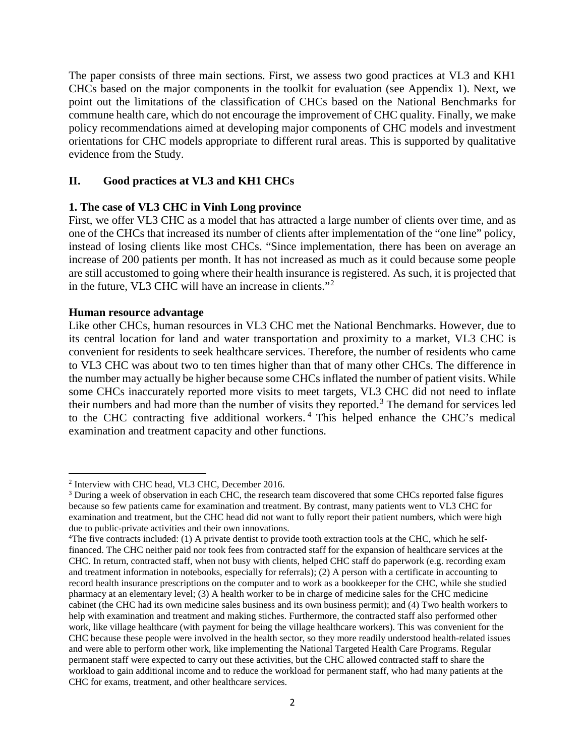The paper consists of three main sections. First, we assess two good practices at VL3 and KH1 CHCs based on the major components in the toolkit for evaluation (see Appendix 1). Next, we point out the limitations of the classification of CHCs based on the National Benchmarks for commune health care, which do not encourage the improvement of CHC quality. Finally, we make policy recommendations aimed at developing major components of CHC models and investment orientations for CHC models appropriate to different rural areas. This is supported by qualitative evidence from the Study.

# **II. Good practices at VL3 and KH1 CHCs**

#### **1. The case of VL3 CHC in Vinh Long province**

First, we offer VL3 CHC as a model that has attracted a large number of clients over time, and as one of the CHCs that increased its number of clients after implementation of the "one line" policy, instead of losing clients like most CHCs. "Since implementation, there has been on average an increase of 200 patients per month. It has not increased as much as it could because some people are still accustomed to going where their health insurance is registered. As such, it is projected that in the future, VL3 CHC will have an increase in clients."[2](#page-3-0)

#### **Human resource advantage**

l

Like other CHCs, human resources in VL3 CHC met the National Benchmarks. However, due to its central location for land and water transportation and proximity to a market, VL3 CHC is convenient for residents to seek healthcare services. Therefore, the number of residents who came to VL3 CHC was about two to ten times higher than that of many other CHCs. The difference in the number may actually be higher because some CHCs inflated the number of patient visits. While some CHCs inaccurately reported more visits to meet targets, VL3 CHC did not need to inflate their numbers and had more than the number of visits they reported.<sup>[3](#page-3-1)</sup> The demand for services led to the CHC contracting five additional workers. [4](#page-3-2) This helped enhance the CHC's medical examination and treatment capacity and other functions.

<span id="page-3-0"></span><sup>2</sup> Interview with CHC head, VL3 CHC, December 2016.

<span id="page-3-1"></span><sup>&</sup>lt;sup>3</sup> During a week of observation in each CHC, the research team discovered that some CHCs reported false figures because so few patients came for examination and treatment. By contrast, many patients went to VL3 CHC for examination and treatment, but the CHC head did not want to fully report their patient numbers, which were high due to public-private activities and their own innovations.

<span id="page-3-2"></span><sup>4</sup> The five contracts included: (1) A private dentist to provide tooth extraction tools at the CHC, which he selffinanced. The CHC neither paid nor took fees from contracted staff for the expansion of healthcare services at the CHC. In return, contracted staff, when not busy with clients, helped CHC staff do paperwork (e.g. recording exam and treatment information in notebooks, especially for referrals); (2) A person with a certificate in accounting to record health insurance prescriptions on the computer and to work as a bookkeeper for the CHC, while she studied pharmacy at an elementary level; (3) A health worker to be in charge of medicine sales for the CHC medicine cabinet (the CHC had its own medicine sales business and its own business permit); and (4) Two health workers to help with examination and treatment and making stiches. Furthermore, the contracted staff also performed other work, like village healthcare (with payment for being the village healthcare workers). This was convenient for the CHC because these people were involved in the health sector, so they more readily understood health-related issues and were able to perform other work, like implementing the National Targeted Health Care Programs. Regular permanent staff were expected to carry out these activities, but the CHC allowed contracted staff to share the workload to gain additional income and to reduce the workload for permanent staff, who had many patients at the CHC for exams, treatment, and other healthcare services.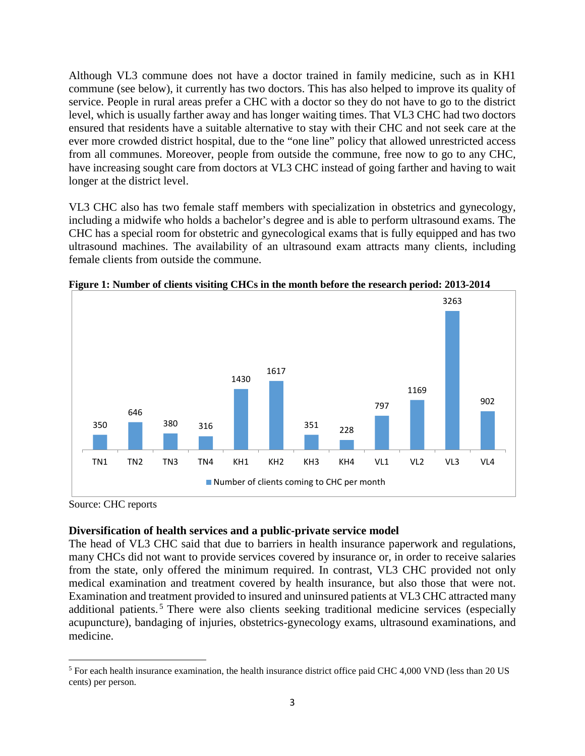Although VL3 commune does not have a doctor trained in family medicine, such as in KH1 commune (see below), it currently has two doctors. This has also helped to improve its quality of service. People in rural areas prefer a CHC with a doctor so they do not have to go to the district level, which is usually farther away and has longer waiting times. That VL3 CHC had two doctors ensured that residents have a suitable alternative to stay with their CHC and not seek care at the ever more crowded district hospital, due to the "one line" policy that allowed unrestricted access from all communes. Moreover, people from outside the commune, free now to go to any CHC, have increasing sought care from doctors at VL3 CHC instead of going farther and having to wait longer at the district level.

VL3 CHC also has two female staff members with specialization in obstetrics and gynecology, including a midwife who holds a bachelor's degree and is able to perform ultrasound exams. The CHC has a special room for obstetric and gynecological exams that is fully equipped and has two ultrasound machines. The availability of an ultrasound exam attracts many clients, including female clients from outside the commune.



**Figure 1: Number of clients visiting CHCs in the month before the research period: 2013-2014**

Source: CHC reports

#### **Diversification of health services and a public-private service model**

The head of VL3 CHC said that due to barriers in health insurance paperwork and regulations, many CHCs did not want to provide services covered by insurance or, in order to receive salaries from the state, only offered the minimum required. In contrast, VL3 CHC provided not only medical examination and treatment covered by health insurance, but also those that were not. Examination and treatment provided to insured and uninsured patients at VL3 CHC attracted many additional patients.<sup>[5](#page-4-0)</sup> There were also clients seeking traditional medicine services (especially acupuncture), bandaging of injuries, obstetrics-gynecology exams, ultrasound examinations, and medicine.

<span id="page-4-0"></span>l <sup>5</sup> For each health insurance examination, the health insurance district office paid CHC 4,000 VND (less than 20 US cents) per person.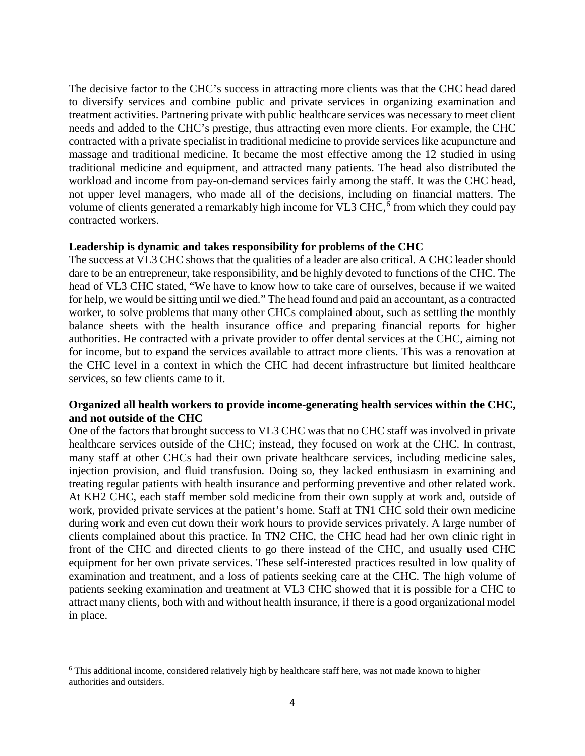The decisive factor to the CHC's success in attracting more clients was that the CHC head dared to diversify services and combine public and private services in organizing examination and treatment activities. Partnering private with public healthcare services was necessary to meet client needs and added to the CHC's prestige, thus attracting even more clients. For example, the CHC contracted with a private specialist in traditional medicine to provide services like acupuncture and massage and traditional medicine. It became the most effective among the 12 studied in using traditional medicine and equipment, and attracted many patients. The head also distributed the workload and income from pay-on-demand services fairly among the staff. It was the CHC head, not upper level managers, who made all of the decisions, including on financial matters. The volume of clients generated a remarkably high income for VL3 CHC,<sup>[6](#page-5-0)</sup> from which they could pay contracted workers.

#### **Leadership is dynamic and takes responsibility for problems of the CHC**

The success at VL3 CHC shows that the qualities of a leader are also critical. A CHC leader should dare to be an entrepreneur, take responsibility, and be highly devoted to functions of the CHC. The head of VL3 CHC stated, "We have to know how to take care of ourselves, because if we waited for help, we would be sitting until we died." The head found and paid an accountant, as a contracted worker, to solve problems that many other CHCs complained about, such as settling the monthly balance sheets with the health insurance office and preparing financial reports for higher authorities. He contracted with a private provider to offer dental services at the CHC, aiming not for income, but to expand the services available to attract more clients. This was a renovation at the CHC level in a context in which the CHC had decent infrastructure but limited healthcare services, so few clients came to it.

#### **Organized all health workers to provide income-generating health services within the CHC, and not outside of the CHC**

One of the factors that brought success to VL3 CHC was that no CHC staff was involved in private healthcare services outside of the CHC; instead, they focused on work at the CHC. In contrast, many staff at other CHCs had their own private healthcare services, including medicine sales, injection provision, and fluid transfusion. Doing so, they lacked enthusiasm in examining and treating regular patients with health insurance and performing preventive and other related work. At KH2 CHC, each staff member sold medicine from their own supply at work and, outside of work, provided private services at the patient's home. Staff at TN1 CHC sold their own medicine during work and even cut down their work hours to provide services privately. A large number of clients complained about this practice. In TN2 CHC, the CHC head had her own clinic right in front of the CHC and directed clients to go there instead of the CHC, and usually used CHC equipment for her own private services. These self-interested practices resulted in low quality of examination and treatment, and a loss of patients seeking care at the CHC. The high volume of patients seeking examination and treatment at VL3 CHC showed that it is possible for a CHC to attract many clients, both with and without health insurance, if there is a good organizational model in place.

<span id="page-5-0"></span>l <sup>6</sup> This additional income, considered relatively high by healthcare staff here, was not made known to higher authorities and outsiders.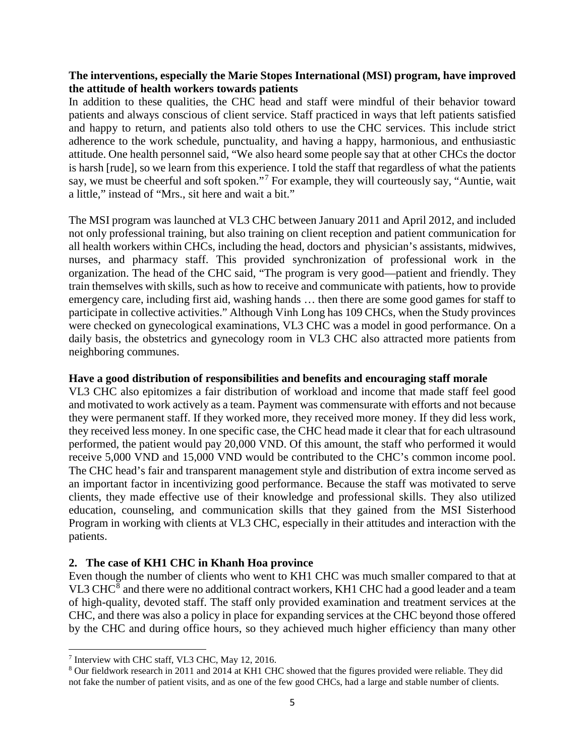# **The interventions, especially the Marie Stopes International (MSI) program, have improved the attitude of health workers towards patients**

In addition to these qualities, the CHC head and staff were mindful of their behavior toward patients and always conscious of client service. Staff practiced in ways that left patients satisfied and happy to return, and patients also told others to use the CHC services. This include strict adherence to the work schedule, punctuality, and having a happy, harmonious, and enthusiastic attitude. One health personnel said, "We also heard some people say that at other CHCs the doctor is harsh [rude], so we learn from this experience. I told the staff that regardless of what the patients say, we must be cheerful and soft spoken."[7](#page-6-0) For example, they will courteously say, "Auntie, wait a little," instead of "Mrs., sit here and wait a bit."

The MSI program was launched at VL3 CHC between January 2011 and April 2012, and included not only professional training, but also training on client reception and patient communication for all health workers within CHCs, including the head, doctors and physician's assistants, midwives, nurses, and pharmacy staff. This provided synchronization of professional work in the organization. The head of the CHC said, "The program is very good—patient and friendly. They train themselves with skills, such as how to receive and communicate with patients, how to provide emergency care, including first aid, washing hands … then there are some good games for staff to participate in collective activities." Although Vinh Long has 109 CHCs, when the Study provinces were checked on gynecological examinations, VL3 CHC was a model in good performance. On a daily basis, the obstetrics and gynecology room in VL3 CHC also attracted more patients from neighboring communes.

#### **Have a good distribution of responsibilities and benefits and encouraging staff morale**

VL3 CHC also epitomizes a fair distribution of workload and income that made staff feel good and motivated to work actively as a team. Payment was commensurate with efforts and not because they were permanent staff. If they worked more, they received more money. If they did less work, they received less money. In one specific case, the CHC head made it clear that for each ultrasound performed, the patient would pay 20,000 VND. Of this amount, the staff who performed it would receive 5,000 VND and 15,000 VND would be contributed to the CHC's common income pool. The CHC head's fair and transparent management style and distribution of extra income served as an important factor in incentivizing good performance. Because the staff was motivated to serve clients, they made effective use of their knowledge and professional skills. They also utilized education, counseling, and communication skills that they gained from the MSI Sisterhood Program in working with clients at VL3 CHC, especially in their attitudes and interaction with the patients.

#### **2. The case of KH1 CHC in Khanh Hoa province**

Even though the number of clients who went to KH1 CHC was much smaller compared to that at VL3 CHC $^8$  $^8$  and there were no additional contract workers, KH1 CHC had a good leader and a team of high-quality, devoted staff. The staff only provided examination and treatment services at the CHC, and there was also a policy in place for expanding services at the CHC beyond those offered by the CHC and during office hours, so they achieved much higher efficiency than many other

l

<span id="page-6-0"></span><sup>7</sup> Interview with CHC staff, VL3 CHC, May 12, 2016.

<span id="page-6-1"></span><sup>8</sup> Our fieldwork research in 2011 and 2014 at KH1 CHC showed that the figures provided were reliable. They did not fake the number of patient visits, and as one of the few good CHCs, had a large and stable number of clients.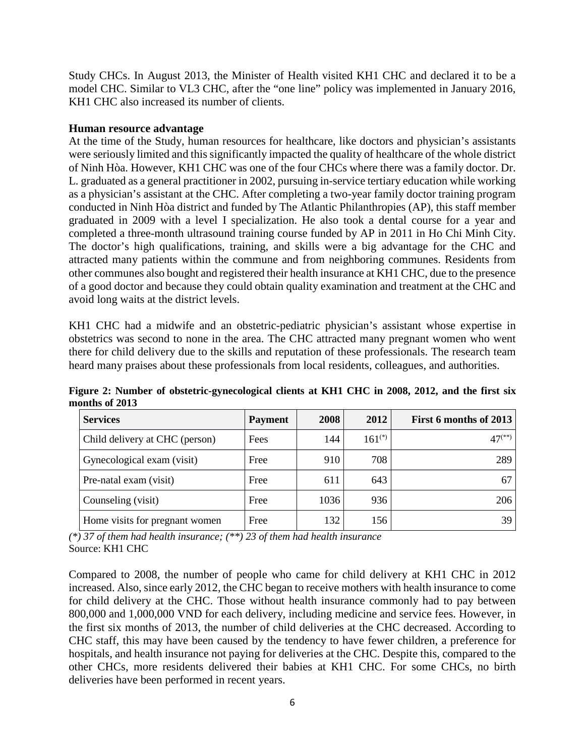Study CHCs. In August 2013, the Minister of Health visited KH1 CHC and declared it to be a model CHC. Similar to VL3 CHC, after the "one line" policy was implemented in January 2016, KH1 CHC also increased its number of clients.

#### **Human resource advantage**

At the time of the Study, human resources for healthcare, like doctors and physician's assistants were seriously limited and this significantly impacted the quality of healthcare of the whole district of Ninh Hòa. However, KH1 CHC was one of the four CHCs where there was a family doctor. Dr. L. graduated as a general practitioner in 2002, pursuing in-service tertiary education while working as a physician's assistant at the CHC. After completing a two-year family doctor training program conducted in Ninh Hòa district and funded by The Atlantic Philanthropies (AP), this staff member graduated in 2009 with a level I specialization. He also took a dental course for a year and completed a three-month ultrasound training course funded by AP in 2011 in Ho Chi Minh City. The doctor's high qualifications, training, and skills were a big advantage for the CHC and attracted many patients within the commune and from neighboring communes. Residents from other communes also bought and registered their health insurance at KH1 CHC, due to the presence of a good doctor and because they could obtain quality examination and treatment at the CHC and avoid long waits at the district levels.

KH1 CHC had a midwife and an obstetric-pediatric physician's assistant whose expertise in obstetrics was second to none in the area. The CHC attracted many pregnant women who went there for child delivery due to the skills and reputation of these professionals. The research team heard many praises about these professionals from local residents, colleagues, and authorities.

| <b>Services</b>                | <b>Payment</b> | <b>2008</b> | 2012        | First 6 months of 2013 |
|--------------------------------|----------------|-------------|-------------|------------------------|
| Child delivery at CHC (person) | Fees           | 144         | $161^{(*)}$ | $47^{(**)}$            |
| Gynecological exam (visit)     | Free           | 910         | 708         | 289                    |
| Pre-natal exam (visit)         | Free           | 611         | 643         | 67                     |
| Counseling (visit)             | Free           | 1036        | 936         | 206                    |
| Home visits for pregnant women | Free           | 132         | 156         | 39                     |

**Figure 2: Number of obstetric-gynecological clients at KH1 CHC in 2008, 2012, and the first six months of 2013**

*(\*) 37 of them had health insurance; (\*\*) 23 of them had health insurance* Source: KH1 CHC

Compared to 2008, the number of people who came for child delivery at KH1 CHC in 2012 increased. Also, since early 2012, the CHC began to receive mothers with health insurance to come for child delivery at the CHC. Those without health insurance commonly had to pay between 800,000 and 1,000,000 VND for each delivery, including medicine and service fees. However, in the first six months of 2013, the number of child deliveries at the CHC decreased. According to CHC staff, this may have been caused by the tendency to have fewer children, a preference for hospitals, and health insurance not paying for deliveries at the CHC. Despite this, compared to the other CHCs, more residents delivered their babies at KH1 CHC. For some CHCs, no birth deliveries have been performed in recent years.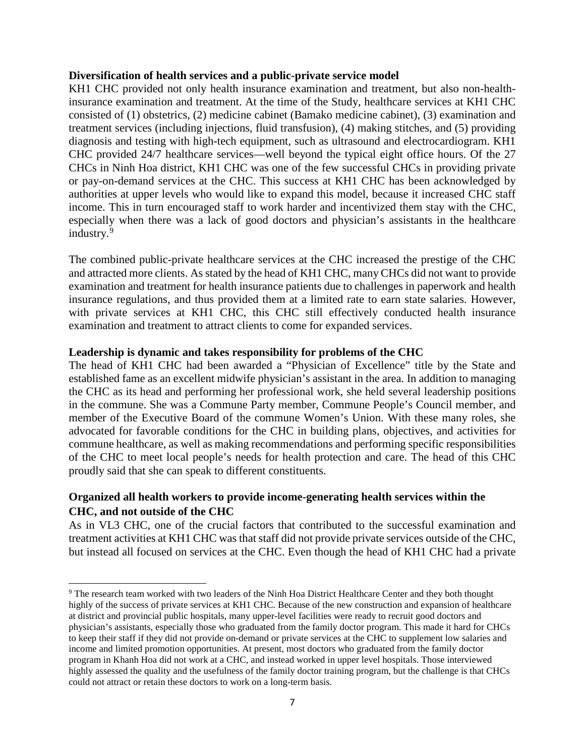#### **Diversification of health services and a public-private service model**

KH1 CHC provided not only health insurance examination and treatment, but also non-healthinsurance examination and treatment. At the time of the Study, healthcare services at KH1 CHC consisted of (1) obstetrics, (2) medicine cabinet (Bamako medicine cabinet), (3) examination and treatment services (including injections, fluid transfusion), (4) making stitches, and (5) providing diagnosis and testing with high-tech equipment, such as ultrasound and electrocardiogram. KH1 CHC provided 24/7 healthcare services—well beyond the typical eight office hours. Of the 27 CHCs in Ninh Hoa district, KH1 CHC was one of the few successful CHCs in providing private or pay-on-demand services at the CHC. This success at KH1 CHC has been acknowledged by authorities at upper levels who would like to expand this model, because it increased CHC staff income. This in turn encouraged staff to work harder and incentivized them stay with the CHC, especially when there was a lack of good doctors and physician's assistants in the healthcare industry. [9](#page-8-0)

The combined public-private healthcare services at the CHC increased the prestige of the CHC and attracted more clients. As stated by the head of KH1 CHC, many CHCs did not want to provide examination and treatment for health insurance patients due to challenges in paperwork and health insurance regulations, and thus provided them at a limited rate to earn state salaries. However, with private services at KH1 CHC, this CHC still effectively conducted health insurance examination and treatment to attract clients to come for expanded services.

#### **Leadership is dynamic and takes responsibility for problems of the CHC**

l

The head of KH1 CHC had been awarded a "Physician of Excellence" title by the State and established fame as an excellent midwife physician's assistant in the area. In addition to managing the CHC as its head and performing her professional work, she held several leadership positions in the commune. She was a Commune Party member, Commune People's Council member, and member of the Executive Board of the commune Women's Union. With these many roles, she advocated for favorable conditions for the CHC in building plans, objectives, and activities for commune healthcare, as well as making recommendations and performing specific responsibilities of the CHC to meet local people's needs for health protection and care. The head of this CHC proudly said that she can speak to different constituents.

# **Organized all health workers to provide income-generating health services within the CHC, and not outside of the CHC**

As in VL3 CHC, one of the crucial factors that contributed to the successful examination and treatment activities at KH1 CHC was that staff did not provide private services outside of the CHC, but instead all focused on services at the CHC. Even though the head of KH1 CHC had a private

<span id="page-8-0"></span><sup>&</sup>lt;sup>9</sup> The research team worked with two leaders of the Ninh Hoa District Healthcare Center and they both thought highly of the success of private services at KH1 CHC. Because of the new construction and expansion of healthcare at district and provincial public hospitals, many upper-level facilities were ready to recruit good doctors and physician's assistants, especially those who graduated from the family doctor program. This made it hard for CHCs to keep their staff if they did not provide on-demand or private services at the CHC to supplement low salaries and income and limited promotion opportunities. At present, most doctors who graduated from the family doctor program in Khanh Hoa did not work at a CHC, and instead worked in upper level hospitals. Those interviewed highly assessed the quality and the usefulness of the family doctor training program, but the challenge is that CHCs could not attract or retain these doctors to work on a long-term basis.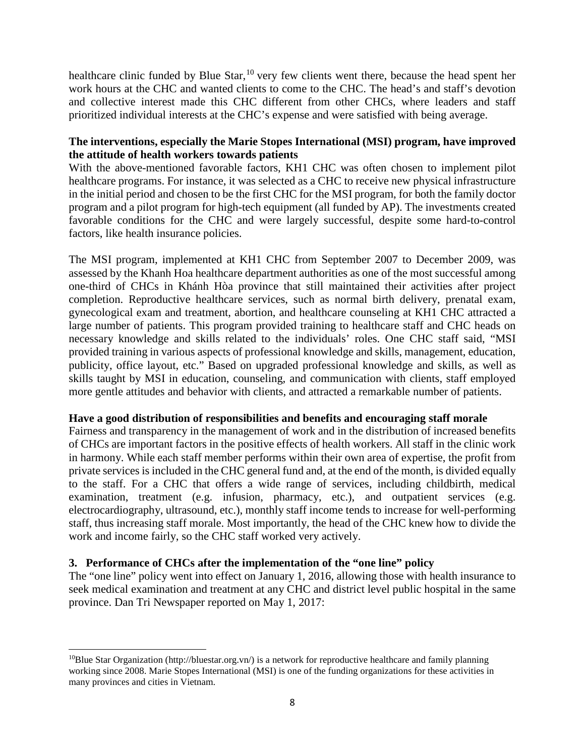healthcare clinic funded by Blue Star, <sup>[10](#page-9-0)</sup> very few clients went there, because the head spent her work hours at the CHC and wanted clients to come to the CHC. The head's and staff's devotion and collective interest made this CHC different from other CHCs, where leaders and staff prioritized individual interests at the CHC's expense and were satisfied with being average.

# **The interventions, especially the Marie Stopes International (MSI) program, have improved the attitude of health workers towards patients**

With the above-mentioned favorable factors, KH1 CHC was often chosen to implement pilot healthcare programs. For instance, it was selected as a CHC to receive new physical infrastructure in the initial period and chosen to be the first CHC for the MSI program, for both the family doctor program and a pilot program for high-tech equipment (all funded by AP). The investments created favorable conditions for the CHC and were largely successful, despite some hard-to-control factors, like health insurance policies.

The MSI program, implemented at KH1 CHC from September 2007 to December 2009, was assessed by the Khanh Hoa healthcare department authorities as one of the most successful among one-third of CHCs in Khánh Hòa province that still maintained their activities after project completion. Reproductive healthcare services, such as normal birth delivery, prenatal exam, gynecological exam and treatment, abortion, and healthcare counseling at KH1 CHC attracted a large number of patients. This program provided training to healthcare staff and CHC heads on necessary knowledge and skills related to the individuals' roles. One CHC staff said, "MSI provided training in various aspects of professional knowledge and skills, management, education, publicity, office layout, etc." Based on upgraded professional knowledge and skills, as well as skills taught by MSI in education, counseling, and communication with clients, staff employed more gentle attitudes and behavior with clients, and attracted a remarkable number of patients.

#### **Have a good distribution of responsibilities and benefits and encouraging staff morale**

Fairness and transparency in the management of work and in the distribution of increased benefits of CHCs are important factors in the positive effects of health workers. All staff in the clinic work in harmony. While each staff member performs within their own area of expertise, the profit from private services is included in the CHC general fund and, at the end of the month, is divided equally to the staff. For a CHC that offers a wide range of services, including childbirth, medical examination, treatment (e.g. infusion, pharmacy, etc.), and outpatient services (e.g. electrocardiography, ultrasound, etc.), monthly staff income tends to increase for well-performing staff, thus increasing staff morale. Most importantly, the head of the CHC knew how to divide the work and income fairly, so the CHC staff worked very actively.

#### **3. Performance of CHCs after the implementation of the "one line" policy**

l

The "one line" policy went into effect on January 1, 2016, allowing those with health insurance to seek medical examination and treatment at any CHC and district level public hospital in the same province. Dan Tri Newspaper reported on May 1, 2017:

<span id="page-9-0"></span><sup>&</sup>lt;sup>10</sup>Blue Star Organization (http://bluestar.org.vn/) is a network for reproductive healthcare and family planning working since 2008. Marie Stopes International (MSI) is one of the funding organizations for these activities in many provinces and cities in Vietnam.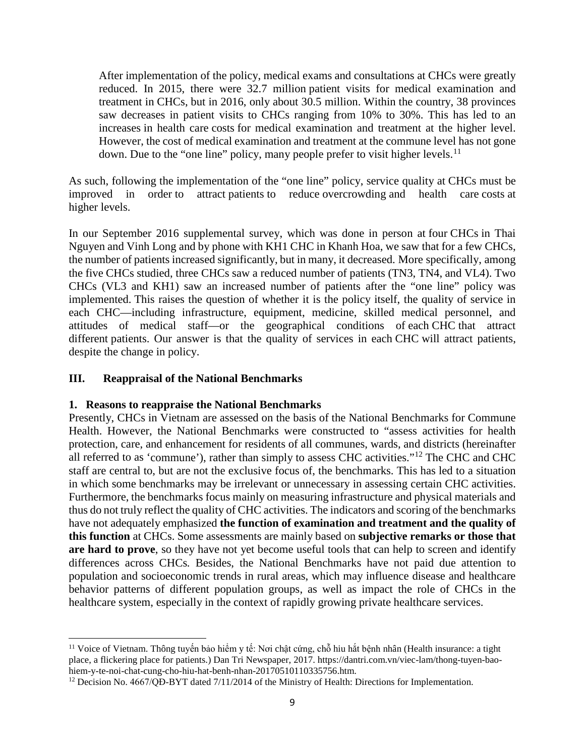After implementation of the policy, medical exams and consultations at CHCs were greatly reduced. In 2015, there were 32.7 million patient visits for medical examination and treatment in CHCs, but in 2016, only about 30.5 million. Within the country, 38 provinces saw decreases in patient visits to CHCs ranging from 10% to 30%. This has led to an increases in health care costs for medical examination and treatment at the higher level. However, the cost of medical examination and treatment at the commune level has not gone down. Due to the "one line" policy, many people prefer to visit higher levels.<sup>[11](#page-10-0)</sup>

As such, following the implementation of the "one line" policy, service quality at CHCs must be improved in order to attract patients to reduce overcrowding and health care costs at higher levels.

In our September 2016 supplemental survey, which was done in person at four CHCs in Thai Nguyen and Vinh Long and by phone with KH1 CHC in Khanh Hoa, we saw that for a few CHCs, the number of patients increased significantly, but in many, it decreased. More specifically, among the five CHCs studied, three CHCs saw a reduced number of patients (TN3, TN4, and VL4). Two CHCs (VL3 and KH1) saw an increased number of patients after the "one line" policy was implemented. This raises the question of whether it is the policy itself, the quality of service in each CHC—including infrastructure, equipment, medicine, skilled medical personnel, and attitudes of medical staff—or the geographical conditions of each CHC that attract different patients. Our answer is that the quality of services in each CHC will attract patients, despite the change in policy.

#### **III. Reappraisal of the National Benchmarks**

l

#### **1. Reasons to reappraise the National Benchmarks**

Presently, CHCs in Vietnam are assessed on the basis of the National Benchmarks for Commune Health. However, the National Benchmarks were constructed to "assess activities for health protection, care, and enhancement for residents of all communes, wards, and districts (hereinafter all referred to as 'commune'), rather than simply to assess CHC activities."[12](#page-10-1) The CHC and CHC staff are central to, but are not the exclusive focus of, the benchmarks. This has led to a situation in which some benchmarks may be irrelevant or unnecessary in assessing certain CHC activities. Furthermore, the benchmarks focus mainly on measuring infrastructure and physical materials and thus do not truly reflect the quality of CHC activities. The indicators and scoring of the benchmarks have not adequately emphasized **the function of examination and treatment and the quality of this function** at CHCs. Some assessments are mainly based on **subjective remarks or those that are hard to prove**, so they have not yet become useful tools that can help to screen and identify differences across CHCs*.* Besides, the National Benchmarks have not paid due attention to population and socioeconomic trends in rural areas, which may influence disease and healthcare behavior patterns of different population groups, as well as impact the role of CHCs in the healthcare system, especially in the context of rapidly growing private healthcare services.

<span id="page-10-0"></span><sup>11</sup> Voice of Vietnam. Thông tuyến bảo hiểm y tế: Nơi chật cứng, chỗ hiu hắt bệnh nhân (Health insurance: a tight place, a flickering place for patients.) Dan Tri Newspaper, 2017. https://dantri.com.vn/viec-lam/thong-tuyen-baohiem-y-te-noi-chat-cung-cho-hiu-hat-benh-nhan-20170510110335756.htm.

<span id="page-10-1"></span><sup>&</sup>lt;sup>12</sup> Decision No. 4667/QĐ-BYT dated 7/11/2014 of the Ministry of Health: Directions for Implementation.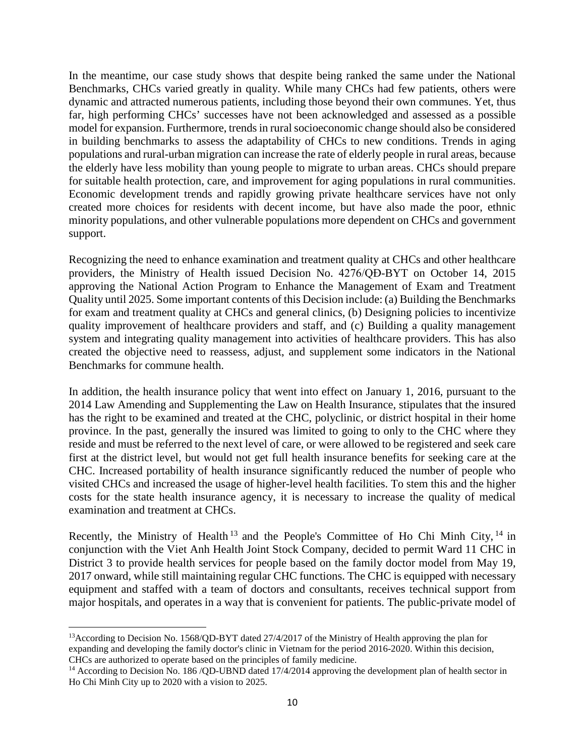In the meantime, our case study shows that despite being ranked the same under the National Benchmarks, CHCs varied greatly in quality. While many CHCs had few patients, others were dynamic and attracted numerous patients, including those beyond their own communes. Yet, thus far, high performing CHCs' successes have not been acknowledged and assessed as a possible model for expansion. Furthermore, trends in rural socioeconomic change should also be considered in building benchmarks to assess the adaptability of CHCs to new conditions. Trends in aging populations and rural-urban migration can increase the rate of elderly people in rural areas, because the elderly have less mobility than young people to migrate to urban areas. CHCs should prepare for suitable health protection, care, and improvement for aging populations in rural communities. Economic development trends and rapidly growing private healthcare services have not only created more choices for residents with decent income, but have also made the poor, ethnic minority populations, and other vulnerable populations more dependent on CHCs and government support.

Recognizing the need to enhance examination and treatment quality at CHCs and other healthcare providers, the Ministry of Health issued Decision No. 4276/QĐ-BYT on October 14, 2015 approving the National Action Program to Enhance the Management of Exam and Treatment Quality until 2025. Some important contents of this Decision include: (a) Building the Benchmarks for exam and treatment quality at CHCs and general clinics, (b) Designing policies to incentivize quality improvement of healthcare providers and staff, and (c) Building a quality management system and integrating quality management into activities of healthcare providers. This has also created the objective need to reassess, adjust, and supplement some indicators in the National Benchmarks for commune health.

In addition, the health insurance policy that went into effect on January 1, 2016, pursuant to the 2014 Law Amending and Supplementing the Law on Health Insurance, stipulates that the insured has the right to be examined and treated at the CHC, polyclinic, or district hospital in their home province. In the past, generally the insured was limited to going to only to the CHC where they reside and must be referred to the next level of care, or were allowed to be registered and seek care first at the district level, but would not get full health insurance benefits for seeking care at the CHC. Increased portability of health insurance significantly reduced the number of people who visited CHCs and increased the usage of higher-level health facilities. To stem this and the higher costs for the state health insurance agency, it is necessary to increase the quality of medical examination and treatment at CHCs.

Recently, the Ministry of Health<sup>[13](#page-11-0)</sup> and the People's Committee of Ho Chi Minh City,  $14$  in conjunction with the Viet Anh Health Joint Stock Company, decided to permit Ward 11 CHC in District 3 to provide health services for people based on the family doctor model from May 19, 2017 onward, while still maintaining regular CHC functions. The CHC is equipped with necessary equipment and staffed with a team of doctors and consultants, receives technical support from major hospitals, and operates in a way that is convenient for patients. The public-private model of

 $\overline{\phantom{a}}$ 

<span id="page-11-0"></span><sup>&</sup>lt;sup>13</sup> According to Decision No. 1568/QD-BYT dated 27/4/2017 of the Ministry of Health approving the plan for expanding and developing the family doctor's clinic in Vietnam for the period 2016-2020. Within this decision, CHCs are authorized to operate based on the principles of family medicine.

<span id="page-11-1"></span><sup>&</sup>lt;sup>14</sup> According to Decision No. 186 /OD-UBND dated 17/4/2014 approving the development plan of health sector in Ho Chi Minh City up to 2020 with a vision to 2025.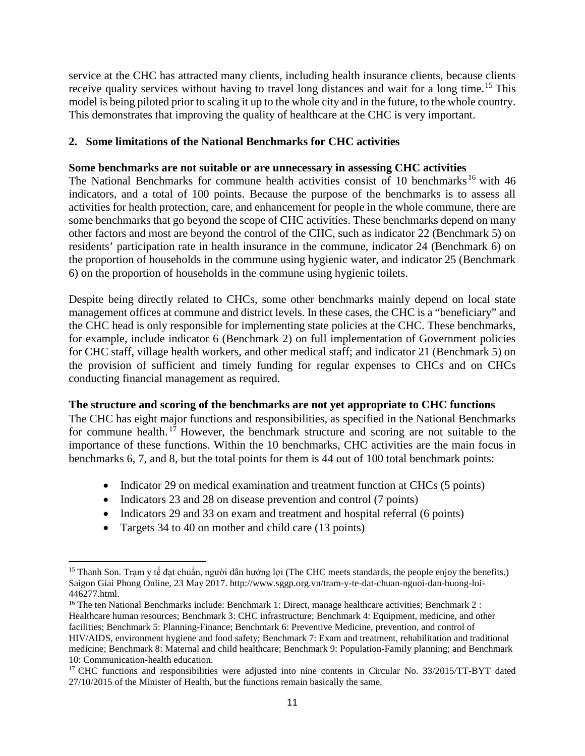service at the CHC has attracted many clients, including health insurance clients, because clients receive quality services without having to travel long distances and wait for a long time.<sup>[15](#page-12-0)</sup> This model is being piloted prior to scaling it up to the whole city and in the future, to the whole country. This demonstrates that improving the quality of healthcare at the CHC is very important.

# **2. Some limitations of the National Benchmarks for CHC activities**

#### **Some benchmarks are not suitable or are unnecessary in assessing CHC activities**

The National Benchmarks for commune health activities consist of 10 benchmarks<sup>[16](#page-12-1)</sup> with 46 indicators, and a total of 100 points. Because the purpose of the benchmarks is to assess all activities for health protection, care, and enhancement for people in the whole commune, there are some benchmarks that go beyond the scope of CHC activities. These benchmarks depend on many other factors and most are beyond the control of the CHC, such as indicator 22 (Benchmark 5) on residents' participation rate in health insurance in the commune, indicator 24 (Benchmark 6) on the proportion of households in the commune using hygienic water, and indicator 25 (Benchmark 6) on the proportion of households in the commune using hygienic toilets.

Despite being directly related to CHCs, some other benchmarks mainly depend on local state management offices at commune and district levels. In these cases, the CHC is a "beneficiary" and the CHC head is only responsible for implementing state policies at the CHC. These benchmarks, for example, include indicator 6 (Benchmark 2) on full implementation of Government policies for CHC staff, village health workers, and other medical staff; and indicator 21 (Benchmark 5) on the provision of sufficient and timely funding for regular expenses to CHCs and on CHCs conducting financial management as required.

#### **The structure and scoring of the benchmarks are not yet appropriate to CHC functions**

The CHC has eight major functions and responsibilities, as specified in the National Benchmarks for commune health.<sup>[17](#page-12-2)</sup> However, the benchmark structure and scoring are not suitable to the importance of these functions. Within the 10 benchmarks, CHC activities are the main focus in benchmarks 6, 7, and 8, but the total points for them is 44 out of 100 total benchmark points:

- Indicator 29 on medical examination and treatment function at CHCs (5 points)
- Indicators 23 and 28 on disease prevention and control (7 points)
- Indicators 29 and 33 on exam and treatment and hospital referral (6 points)
- Targets 34 to 40 on mother and child care (13 points)

 $\overline{\phantom{a}}$ 

<span id="page-12-0"></span><sup>&</sup>lt;sup>15</sup> Thanh Son. Trạm y tế đạt chuẩn, người dân hưởng lợi (The CHC meets standards, the people enjoy the benefits.) Saigon Giai Phong Online, 23 May 2017. http://www.sggp.org.vn/tram-y-te-dat-chuan-nguoi-dan-huong-loi-446277.html.

<span id="page-12-1"></span><sup>&</sup>lt;sup>16</sup> The ten National Benchmarks include: Benchmark 1: Direct, manage healthcare activities; Benchmark 2 : Healthcare human resources; Benchmark 3: CHC infrastructure; Benchmark 4: Equipment, medicine, and other facilities; Benchmark 5: Planning-Finance; Benchmark 6: Preventive Medicine, prevention, and control of HIV/AIDS, environment hygiene and food safety; Benchmark 7: Exam and treatment, rehabilitation and traditional medicine; Benchmark 8: Maternal and child healthcare; Benchmark 9: Population-Family planning; and Benchmark 10: Communication-health education.

<span id="page-12-2"></span><sup>&</sup>lt;sup>17</sup> CHC functions and responsibilities were adjusted into nine contents in Circular No. 33/2015/TT-BYT dated 27/10/2015 of the Minister of Health, but the functions remain basically the same.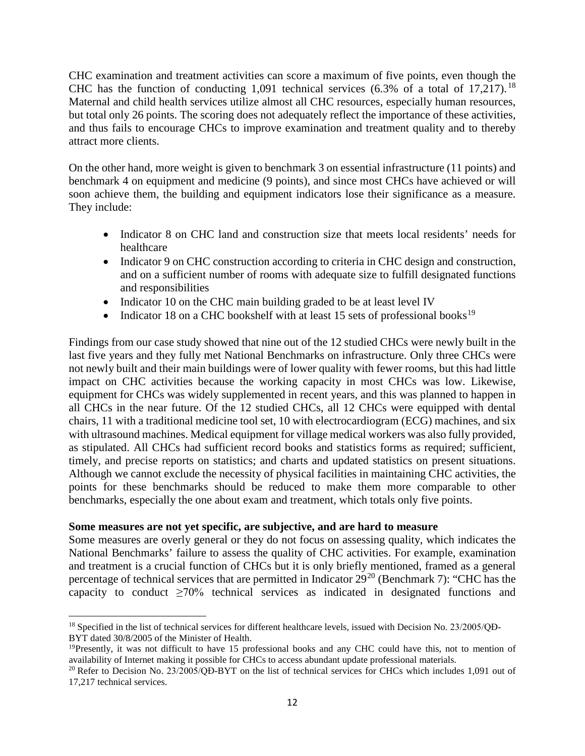CHC examination and treatment activities can score a maximum of five points, even though the CHC has the function of conducting  $1,091$  technical services (6.3% of a total of  $17,217$ ).<sup>[18](#page-13-0)</sup> Maternal and child health services utilize almost all CHC resources, especially human resources, but total only 26 points. The scoring does not adequately reflect the importance of these activities, and thus fails to encourage CHCs to improve examination and treatment quality and to thereby attract more clients.

On the other hand, more weight is given to benchmark 3 on essential infrastructure (11 points) and benchmark 4 on equipment and medicine (9 points), and since most CHCs have achieved or will soon achieve them, the building and equipment indicators lose their significance as a measure. They include:

- Indicator 8 on CHC land and construction size that meets local residents' needs for healthcare
- Indicator 9 on CHC construction according to criteria in CHC design and construction, and on a sufficient number of rooms with adequate size to fulfill designated functions and responsibilities
- Indicator 10 on the CHC main building graded to be at least level IV
- Indicator 18 on a CHC bookshelf with at least 15 sets of professional books<sup>[19](#page-13-1)</sup>

Findings from our case study showed that nine out of the 12 studied CHCs were newly built in the last five years and they fully met National Benchmarks on infrastructure. Only three CHCs were not newly built and their main buildings were of lower quality with fewer rooms, but this had little impact on CHC activities because the working capacity in most CHCs was low. Likewise, equipment for CHCs was widely supplemented in recent years, and this was planned to happen in all CHCs in the near future. Of the 12 studied CHCs, all 12 CHCs were equipped with dental chairs, 11 with a traditional medicine tool set, 10 with electrocardiogram (ECG) machines, and six with ultrasound machines. Medical equipment for village medical workers was also fully provided, as stipulated. All CHCs had sufficient record books and statistics forms as required; sufficient, timely, and precise reports on statistics; and charts and updated statistics on present situations. Although we cannot exclude the necessity of physical facilities in maintaining CHC activities, the points for these benchmarks should be reduced to make them more comparable to other benchmarks, especially the one about exam and treatment, which totals only five points.

#### **Some measures are not yet specific, are subjective, and are hard to measure**

Some measures are overly general or they do not focus on assessing quality, which indicates the National Benchmarks' failure to assess the quality of CHC activities. For example, examination and treatment is a crucial function of CHCs but it is only briefly mentioned, framed as a general percentage of technical services that are permitted in Indicator  $29^{20}$  $29^{20}$  $29^{20}$  (Benchmark 7): "CHC has the capacity to conduct ≥70% technical services as indicated in designated functions and

<span id="page-13-0"></span> $\overline{a}$ <sup>18</sup> Specified in the list of technical services for different healthcare levels, issued with Decision No. 23/2005/QĐ-BYT dated 30/8/2005 of the Minister of Health.

<span id="page-13-1"></span><sup>&</sup>lt;sup>19</sup>Presently, it was not difficult to have 15 professional books and any CHC could have this, not to mention of availability of Internet making it possible for CHCs to access abundant update professional materials.

<span id="page-13-2"></span><sup>&</sup>lt;sup>20</sup> Refer to Decision No. 23/2005/OĐ-BYT on the list of technical services for CHCs which includes 1,091 out of 17,217 technical services.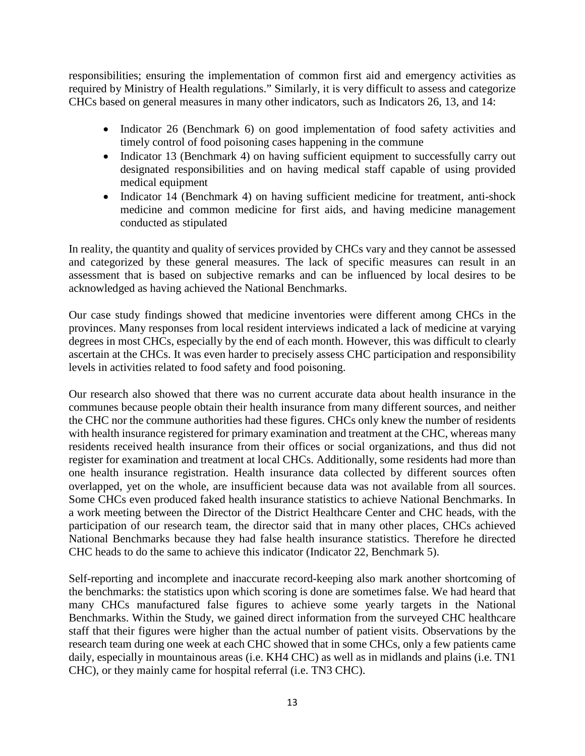responsibilities; ensuring the implementation of common first aid and emergency activities as required by Ministry of Health regulations." Similarly, it is very difficult to assess and categorize CHCs based on general measures in many other indicators, such as Indicators 26, 13, and 14:

- Indicator 26 (Benchmark 6) on good implementation of food safety activities and timely control of food poisoning cases happening in the commune
- Indicator 13 (Benchmark 4) on having sufficient equipment to successfully carry out designated responsibilities and on having medical staff capable of using provided medical equipment
- Indicator 14 (Benchmark 4) on having sufficient medicine for treatment, anti-shock medicine and common medicine for first aids, and having medicine management conducted as stipulated

In reality, the quantity and quality of services provided by CHCs vary and they cannot be assessed and categorized by these general measures. The lack of specific measures can result in an assessment that is based on subjective remarks and can be influenced by local desires to be acknowledged as having achieved the National Benchmarks.

Our case study findings showed that medicine inventories were different among CHCs in the provinces. Many responses from local resident interviews indicated a lack of medicine at varying degrees in most CHCs, especially by the end of each month. However, this was difficult to clearly ascertain at the CHCs. It was even harder to precisely assess CHC participation and responsibility levels in activities related to food safety and food poisoning.

Our research also showed that there was no current accurate data about health insurance in the communes because people obtain their health insurance from many different sources, and neither the CHC nor the commune authorities had these figures. CHCs only knew the number of residents with health insurance registered for primary examination and treatment at the CHC, whereas many residents received health insurance from their offices or social organizations, and thus did not register for examination and treatment at local CHCs. Additionally, some residents had more than one health insurance registration. Health insurance data collected by different sources often overlapped, yet on the whole, are insufficient because data was not available from all sources. Some CHCs even produced faked health insurance statistics to achieve National Benchmarks. In a work meeting between the Director of the District Healthcare Center and CHC heads, with the participation of our research team, the director said that in many other places, CHCs achieved National Benchmarks because they had false health insurance statistics. Therefore he directed CHC heads to do the same to achieve this indicator (Indicator 22, Benchmark 5).

Self-reporting and incomplete and inaccurate record-keeping also mark another shortcoming of the benchmarks: the statistics upon which scoring is done are sometimes false. We had heard that many CHCs manufactured false figures to achieve some yearly targets in the National Benchmarks. Within the Study, we gained direct information from the surveyed CHC healthcare staff that their figures were higher than the actual number of patient visits. Observations by the research team during one week at each CHC showed that in some CHCs, only a few patients came daily, especially in mountainous areas (i.e. KH4 CHC) as well as in midlands and plains (i.e. TN1 CHC), or they mainly came for hospital referral (i.e. TN3 CHC).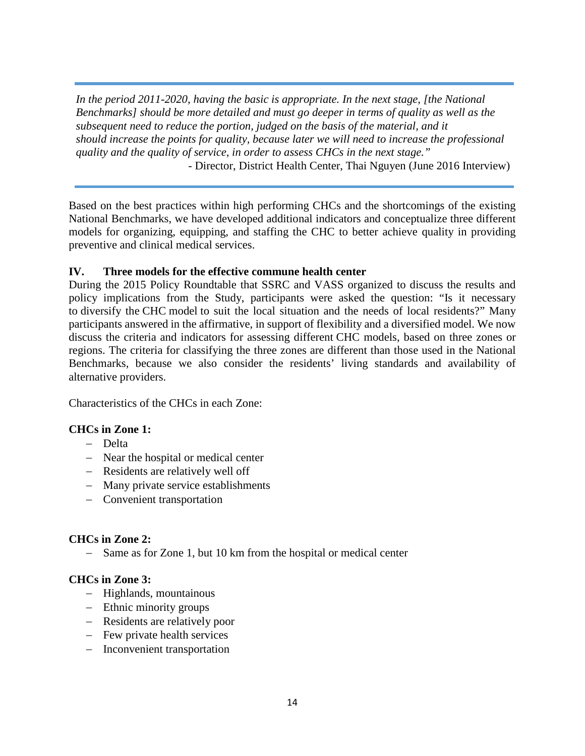*In the period 2011-2020, having the basic is appropriate. In the next stage, [the National Benchmarks] should be more detailed and must go deeper in terms of quality as well as the subsequent need to reduce the portion, judged on the basis of the material, and it should increase the points for quality, because later we will need to increase the professional quality and the quality of service, in order to assess CHCs in the next stage."*

- Director, District Health Center, Thai Nguyen (June 2016 Interview)

Based on the best practices within high performing CHCs and the shortcomings of the existing National Benchmarks, we have developed additional indicators and conceptualize three different models for organizing, equipping, and staffing the CHC to better achieve quality in providing preventive and clinical medical services.

# **IV. Three models for the effective commune health center**

During the 2015 Policy Roundtable that SSRC and VASS organized to discuss the results and policy implications from the Study, participants were asked the question: "Is it necessary to diversify the CHC model to suit the local situation and the needs of local residents?" Many participants answered in the affirmative, in support of flexibility and a diversified model. We now discuss the criteria and indicators for assessing different CHC models, based on three zones or regions. The criteria for classifying the three zones are different than those used in the National Benchmarks, because we also consider the residents' living standards and availability of alternative providers.

Characteristics of the CHCs in each Zone:

# **CHCs in Zone 1:**

- − Delta
- − Near the hospital or medical center
- − Residents are relatively well off
- − Many private service establishments
- − Convenient transportation

# **CHCs in Zone 2:**

− Same as for Zone 1, but 10 km from the hospital or medical center

# **CHCs in Zone 3:**

- − Highlands, mountainous
- − Ethnic minority groups
- − Residents are relatively poor
- − Few private health services
- − Inconvenient transportation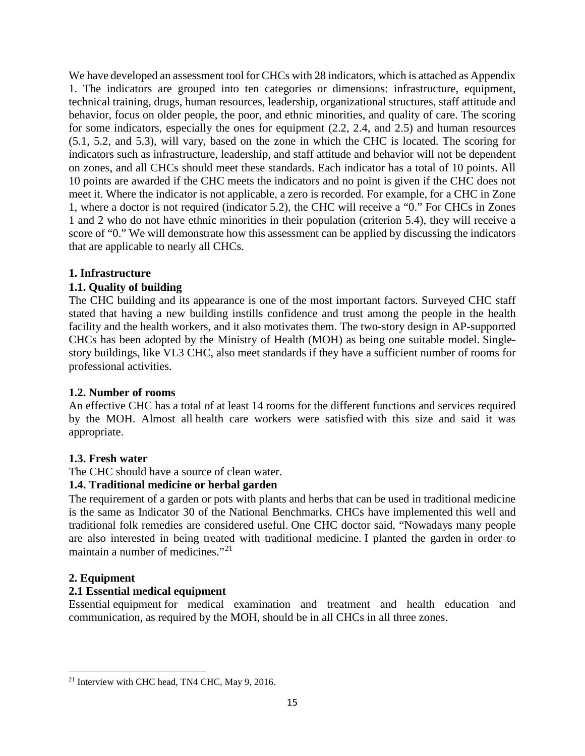We have developed an assessment tool for CHCs with 28 indicators, which is attached as Appendix 1. The indicators are grouped into ten categories or dimensions: infrastructure, equipment, technical training, drugs, human resources, leadership, organizational structures, staff attitude and behavior, focus on older people, the poor, and ethnic minorities, and quality of care. The scoring for some indicators, especially the ones for equipment (2.2, 2.4, and 2.5) and human resources (5.1, 5.2, and 5.3), will vary, based on the zone in which the CHC is located. The scoring for indicators such as infrastructure, leadership, and staff attitude and behavior will not be dependent on zones, and all CHCs should meet these standards. Each indicator has a total of 10 points. All 10 points are awarded if the CHC meets the indicators and no point is given if the CHC does not meet it. Where the indicator is not applicable, a zero is recorded. For example, for a CHC in Zone 1, where a doctor is not required (indicator 5.2), the CHC will receive a "0." For CHCs in Zones 1 and 2 who do not have ethnic minorities in their population (criterion 5.4), they will receive a score of "0." We will demonstrate how this assessment can be applied by discussing the indicators that are applicable to nearly all CHCs.

# **1. Infrastructure**

# **1.1. Quality of building**

The CHC building and its appearance is one of the most important factors. Surveyed CHC staff stated that having a new building instills confidence and trust among the people in the health facility and the health workers, and it also motivates them. The two-story design in AP-supported CHCs has been adopted by the Ministry of Health (MOH) as being one suitable model. Singlestory buildings, like VL3 CHC, also meet standards if they have a sufficient number of rooms for professional activities.

#### **1.2. Number of rooms**

An effective CHC has a total of at least 14 rooms for the different functions and services required by the MOH. Almost all health care workers were satisfied with this size and said it was appropriate.

#### **1.3. Fresh water**

#### The CHC should have a source of clean water.

#### **1.4. Traditional medicine or herbal garden**

The requirement of a garden or pots with plants and herbs that can be used in traditional medicine is the same as Indicator 30 of the National Benchmarks. CHCs have implemented this well and traditional folk remedies are considered useful. One CHC doctor said, "Nowadays many people are also interested in being treated with traditional medicine. I planted the garden in order to maintain a number of medicines."[21](#page-16-0)

#### **2. Equipment**

l

# **2.1 Essential medical equipment**

Essential equipment for medical examination and treatment and health education and communication, as required by the MOH, should be in all CHCs in all three zones.

<span id="page-16-0"></span><sup>&</sup>lt;sup>21</sup> Interview with CHC head, TN4 CHC, May 9, 2016.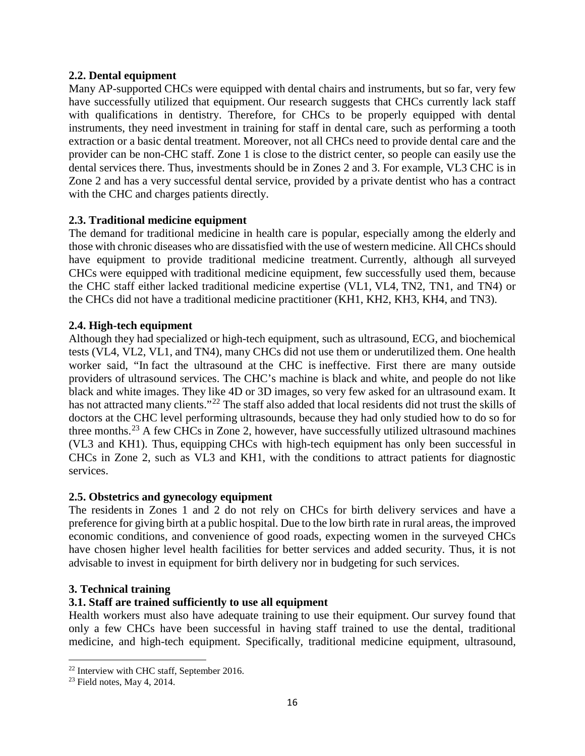# **2.2. Dental equipment**

Many AP-supported CHCs were equipped with dental chairs and instruments, but so far, very few have successfully utilized that equipment. Our research suggests that CHCs currently lack staff with qualifications in dentistry. Therefore, for CHCs to be properly equipped with dental instruments, they need investment in training for staff in dental care, such as performing a tooth extraction or a basic dental treatment. Moreover, not all CHCs need to provide dental care and the provider can be non-CHC staff. Zone 1 is close to the district center, so people can easily use the dental services there. Thus, investments should be in Zones 2 and 3. For example, VL3 CHC is in Zone 2 and has a very successful dental service, provided by a private dentist who has a contract with the CHC and charges patients directly.

# **2.3. Traditional medicine equipment**

The demand for traditional medicine in health care is popular, especially among the elderly and those with chronic diseases who are dissatisfied with the use of western medicine. All CHCs should have equipment to provide traditional medicine treatment. Currently, although all surveyed CHCs were equipped with traditional medicine equipment, few successfully used them, because the CHC staff either lacked traditional medicine expertise (VL1, VL4, TN2, TN1, and TN4) or the CHCs did not have a traditional medicine practitioner (KH1, KH2, KH3, KH4, and TN3).

# **2.4. High-tech equipment**

Although they had specialized or high-tech equipment, such as ultrasound, ECG, and biochemical tests (VL4, VL2, VL1, and TN4), many CHCs did not use them or underutilized them. One health worker said, "In fact the ultrasound at the CHC is ineffective. First there are many outside providers of ultrasound services. The CHC's machine is black and white, and people do not like black and white images. They like 4D or 3D images, so very few asked for an ultrasound exam. It has not attracted many clients."<sup>[22](#page-17-0)</sup> The staff also added that local residents did not trust the skills of doctors at the CHC level performing ultrasounds, because they had only studied how to do so for three months.<sup>[23](#page-17-1)</sup> A few CHCs in Zone 2, however, have successfully utilized ultrasound machines (VL3 and KH1). Thus, equipping CHCs with high-tech equipment has only been successful in CHCs in Zone 2, such as VL3 and KH1, with the conditions to attract patients for diagnostic services.

#### **2.5. Obstetrics and gynecology equipment**

The residents in Zones 1 and 2 do not rely on CHCs for birth delivery services and have a preference for giving birth at a public hospital. Due to the low birth rate in rural areas, the improved economic conditions, and convenience of good roads, expecting women in the surveyed CHCs have chosen higher level health facilities for better services and added security. Thus, it is not advisable to invest in equipment for birth delivery nor in budgeting for such services.

#### **3. Technical training**

# **3.1. Staff are trained sufficiently to use all equipment**

Health workers must also have adequate training to use their equipment. Our survey found that only a few CHCs have been successful in having staff trained to use the dental, traditional medicine, and high-tech equipment. Specifically, traditional medicine equipment, ultrasound,

l

<sup>&</sup>lt;sup>22</sup> Interview with CHC staff, September 2016.

<span id="page-17-1"></span><span id="page-17-0"></span> $23$  Field notes, May 4, 2014.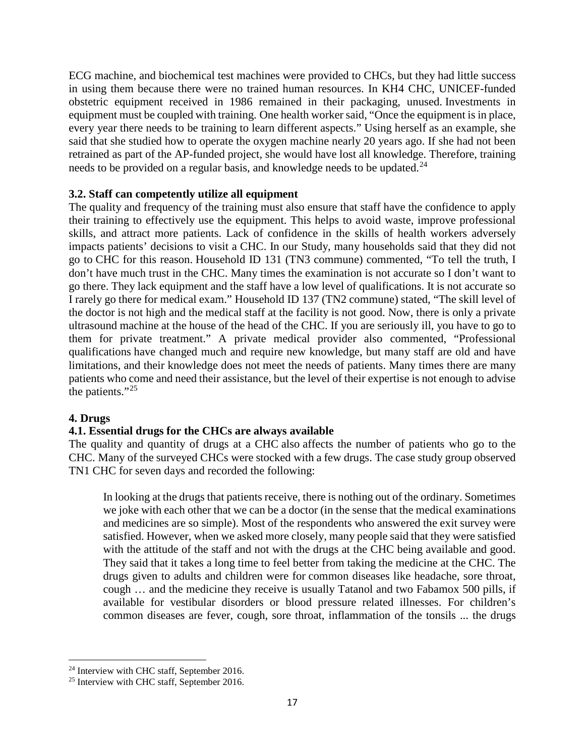ECG machine, and biochemical test machines were provided to CHCs, but they had little success in using them because there were no trained human resources. In KH4 CHC, UNICEF-funded obstetric equipment received in 1986 remained in their packaging, unused. Investments in equipment must be coupled with training. One health worker said, "Once the equipment is in place, every year there needs to be training to learn different aspects." Using herself as an example, she said that she studied how to operate the oxygen machine nearly 20 years ago. If she had not been retrained as part of the AP-funded project, she would have lost all knowledge. Therefore, training needs to be provided on a regular basis, and knowledge needs to be updated.<sup>[24](#page-18-0)</sup>

# **3.2. Staff can competently utilize all equipment**

The quality and frequency of the training must also ensure that staff have the confidence to apply their training to effectively use the equipment. This helps to avoid waste, improve professional skills, and attract more patients. Lack of confidence in the skills of health workers adversely impacts patients' decisions to visit a CHC. In our Study, many households said that they did not go to CHC for this reason. Household ID 131 (TN3 commune) commented, "To tell the truth, I don't have much trust in the CHC. Many times the examination is not accurate so I don't want to go there. They lack equipment and the staff have a low level of qualifications. It is not accurate so I rarely go there for medical exam." Household ID 137 (TN2 commune) stated, "The skill level of the doctor is not high and the medical staff at the facility is not good. Now, there is only a private ultrasound machine at the house of the head of the CHC. If you are seriously ill, you have to go to them for private treatment." A private medical provider also commented, "Professional qualifications have changed much and require new knowledge, but many staff are old and have limitations, and their knowledge does not meet the needs of patients. Many times there are many patients who come and need their assistance, but the level of their expertise is not enough to advise the patients."<sup>[25](#page-18-1)</sup>

#### **4. Drugs**

#### **4.1. Essential drugs for the CHCs are always available**

The quality and quantity of drugs at a CHC also affects the number of patients who go to the CHC. Many of the surveyed CHCs were stocked with a few drugs. The case study group observed TN1 CHC for seven days and recorded the following:

In looking at the drugs that patients receive, there is nothing out of the ordinary. Sometimes we joke with each other that we can be a doctor (in the sense that the medical examinations and medicines are so simple). Most of the respondents who answered the exit survey were satisfied. However, when we asked more closely, many people said that they were satisfied with the attitude of the staff and not with the drugs at the CHC being available and good. They said that it takes a long time to feel better from taking the medicine at the CHC. The drugs given to adults and children were for common diseases like headache, sore throat, cough … and the medicine they receive is usually Tatanol and two Fabamox 500 pills, if available for vestibular disorders or blood pressure related illnesses. For children's common diseases are fever, cough, sore throat, inflammation of the tonsils ... the drugs

l <sup>24</sup> Interview with CHC staff, September 2016.

<span id="page-18-1"></span><span id="page-18-0"></span><sup>&</sup>lt;sup>25</sup> Interview with CHC staff, September 2016.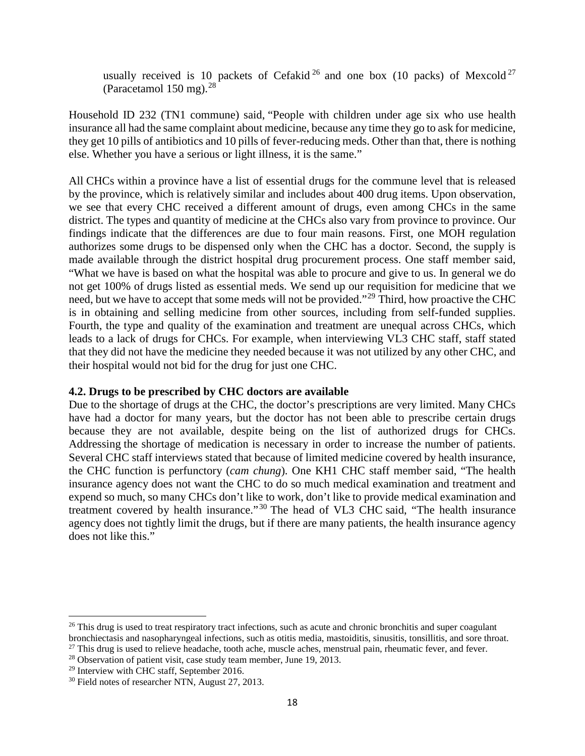usually received is 10 packets of Cefakid<sup>[26](#page-19-0)</sup> and one box (10 packs) of Mexcold<sup>[27](#page-19-1)</sup> (Paracetamol  $150$  mg).<sup>[28](#page-19-2)</sup>

Household ID 232 (TN1 commune) said, "People with children under age six who use health insurance all had the same complaint about medicine, because any time they go to ask for medicine, they get 10 pills of antibiotics and 10 pills of fever-reducing meds. Other than that, there is nothing else. Whether you have a serious or light illness, it is the same."

All CHCs within a province have a list of essential drugs for the commune level that is released by the province, which is relatively similar and includes about 400 drug items. Upon observation, we see that every CHC received a different amount of drugs, even among CHCs in the same district. The types and quantity of medicine at the CHCs also vary from province to province. Our findings indicate that the differences are due to four main reasons. First, one MOH regulation authorizes some drugs to be dispensed only when the CHC has a doctor. Second, the supply is made available through the district hospital drug procurement process. One staff member said, "What we have is based on what the hospital was able to procure and give to us. In general we do not get 100% of drugs listed as essential meds. We send up our requisition for medicine that we need, but we have to accept that some meds will not be provided."<sup>[29](#page-19-3)</sup> Third, how proactive the CHC is in obtaining and selling medicine from other sources, including from self-funded supplies. Fourth, the type and quality of the examination and treatment are unequal across CHCs, which leads to a lack of drugs for CHCs. For example, when interviewing VL3 CHC staff, staff stated that they did not have the medicine they needed because it was not utilized by any other CHC, and their hospital would not bid for the drug for just one CHC.

#### **4.2. Drugs to be prescribed by CHC doctors are available**

Due to the shortage of drugs at the CHC, the doctor's prescriptions are very limited. Many CHCs have had a doctor for many years, but the doctor has not been able to prescribe certain drugs because they are not available, despite being on the list of authorized drugs for CHCs. Addressing the shortage of medication is necessary in order to increase the number of patients. Several CHC staff interviews stated that because of limited medicine covered by health insurance, the CHC function is perfunctory (*cam chung*). One KH1 CHC staff member said, "The health insurance agency does not want the CHC to do so much medical examination and treatment and expend so much, so many CHCs don't like to work, don't like to provide medical examination and treatment covered by health insurance." [30](#page-19-4) The head of VL3 CHC said, "The health insurance agency does not tightly limit the drugs, but if there are many patients, the health insurance agency does not like this."

 $\overline{a}$ 

<span id="page-19-0"></span> $26$  This drug is used to treat respiratory tract infections, such as acute and chronic bronchitis and super coagulant bronchiectasis and nasopharyngeal infections, such as otitis media, mastoiditis, sinusitis, tonsillitis, and sore throat.

<span id="page-19-1"></span> $27$  This drug is used to relieve headache, tooth ache, muscle aches, menstrual pain, rheumatic fever, and fever.

<span id="page-19-2"></span><sup>&</sup>lt;sup>28</sup> Observation of patient visit, case study team member, June 19, 2013.

<span id="page-19-3"></span><sup>29</sup> Interview with CHC staff, September 2016.

<span id="page-19-4"></span><sup>&</sup>lt;sup>30</sup> Field notes of researcher NTN, August 27, 2013.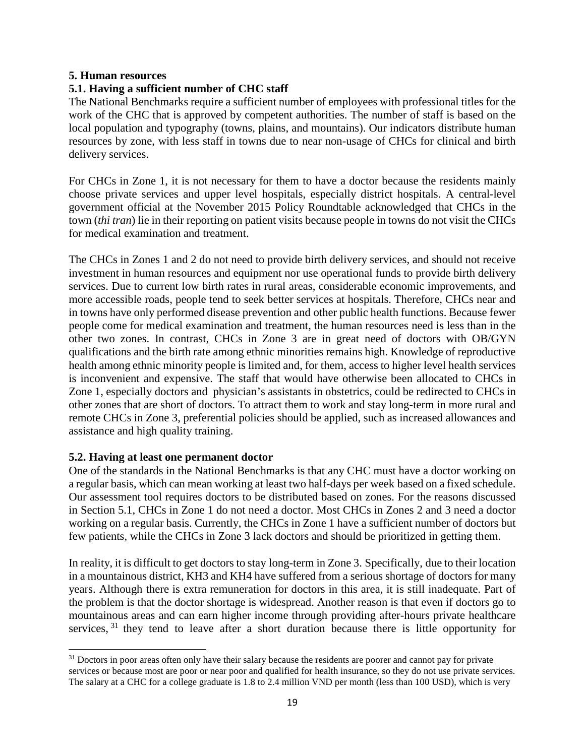#### **5. Human resources**

## **5.1. Having a sufficient number of CHC staff**

The National Benchmarks require a sufficient number of employees with professional titles for the work of the CHC that is approved by competent authorities. The number of staff is based on the local population and typography (towns, plains, and mountains). Our indicators distribute human resources by zone, with less staff in towns due to near non-usage of CHCs for clinical and birth delivery services.

For CHCs in Zone 1, it is not necessary for them to have a doctor because the residents mainly choose private services and upper level hospitals, especially district hospitals. A central-level government official at the November 2015 Policy Roundtable acknowledged that CHCs in the town (*thi tran*) lie in their reporting on patient visits because people in towns do not visit the CHCs for medical examination and treatment.

The CHCs in Zones 1 and 2 do not need to provide birth delivery services, and should not receive investment in human resources and equipment nor use operational funds to provide birth delivery services. Due to current low birth rates in rural areas, considerable economic improvements, and more accessible roads, people tend to seek better services at hospitals. Therefore, CHCs near and in towns have only performed disease prevention and other public health functions. Because fewer people come for medical examination and treatment, the human resources need is less than in the other two zones. In contrast, CHCs in Zone 3 are in great need of doctors with OB/GYN qualifications and the birth rate among ethnic minorities remains high. Knowledge of reproductive health among ethnic minority people is limited and, for them, access to higher level health services is inconvenient and expensive. The staff that would have otherwise been allocated to CHCs in Zone 1, especially doctors and physician's assistants in obstetrics, could be redirected to CHCs in other zones that are short of doctors. To attract them to work and stay long-term in more rural and remote CHCs in Zone 3, preferential policies should be applied, such as increased allowances and assistance and high quality training.

#### **5.2. Having at least one permanent doctor**

One of the standards in the National Benchmarks is that any CHC must have a doctor working on a regular basis, which can mean working at least two half-days per week based on a fixed schedule. Our assessment tool requires doctors to be distributed based on zones. For the reasons discussed in Section 5.1, CHCs in Zone 1 do not need a doctor. Most CHCs in Zones 2 and 3 need a doctor working on a regular basis. Currently, the CHCs in Zone 1 have a sufficient number of doctors but few patients, while the CHCs in Zone 3 lack doctors and should be prioritized in getting them.

In reality, it is difficult to get doctors to stay long-term in Zone 3. Specifically, due to their location in a mountainous district, KH3 and KH4 have suffered from a serious shortage of doctors for many years. Although there is extra remuneration for doctors in this area, it is still inadequate. Part of the problem is that the doctor shortage is widespread. Another reason is that even if doctors go to mountainous areas and can earn higher income through providing after-hours private healthcare services,  $31$  they tend to leave after a short duration because there is little opportunity for

<span id="page-20-0"></span>l <sup>31</sup> Doctors in poor areas often only have their salary because the residents are poorer and cannot pay for private services or because most are poor or near poor and qualified for health insurance, so they do not use private services. The salary at a CHC for a college graduate is 1.8 to 2.4 million VND per month (less than 100 USD), which is very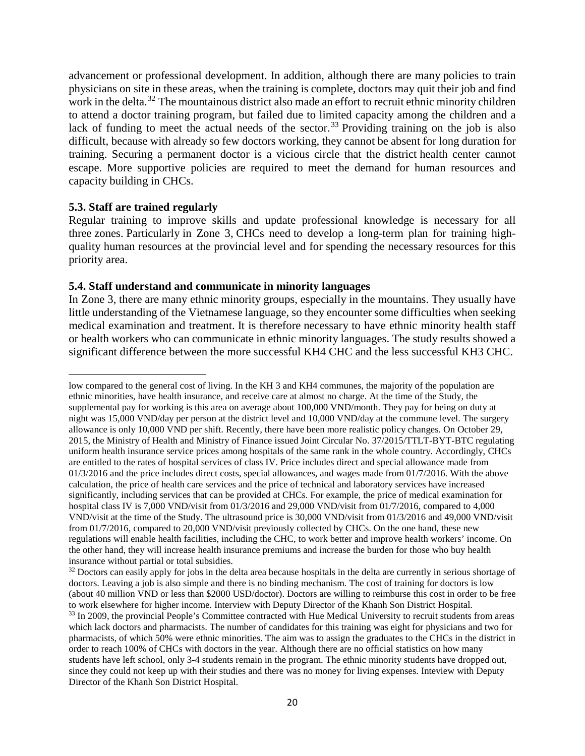advancement or professional development. In addition, although there are many policies to train physicians on site in these areas, when the training is complete, doctors may quit their job and find work in the delta.<sup>[32](#page-21-0)</sup> The mountainous district also made an effort to recruit ethnic minority children to attend a doctor training program, but failed due to limited capacity among the children and a lack of funding to meet the actual needs of the sector.<sup>[33](#page-21-1)</sup> Providing training on the job is also difficult, because with already so few doctors working, they cannot be absent for long duration for training. Securing a permanent doctor is a vicious circle that the district health center cannot escape. More supportive policies are required to meet the demand for human resources and capacity building in CHCs.

#### **5.3. Staff are trained regularly**

l

Regular training to improve skills and update professional knowledge is necessary for all three zones. Particularly in Zone 3, CHCs need to develop a long-term plan for training highquality human resources at the provincial level and for spending the necessary resources for this priority area.

#### **5.4. Staff understand and communicate in minority languages**

In Zone 3, there are many ethnic minority groups, especially in the mountains. They usually have little understanding of the Vietnamese language, so they encounter some difficulties when seeking medical examination and treatment. It is therefore necessary to have ethnic minority health staff or health workers who can communicate in ethnic minority languages. The study results showed a significant difference between the more successful KH4 CHC and the less successful KH3 CHC.

low compared to the general cost of living. In the KH 3 and KH4 communes, the majority of the population are ethnic minorities, have health insurance, and receive care at almost no charge. At the time of the Study, the supplemental pay for working is this area on average about 100,000 VND/month. They pay for being on duty at night was 15,000 VND/day per person at the district level and 10,000 VND/day at the commune level. The surgery allowance is only 10,000 VND per shift. Recently, there have been more realistic policy changes. On October 29, 2015, the Ministry of Health and Ministry of Finance issued Joint Circular No. 37/2015/TTLT-BYT-BTC regulating uniform health insurance service prices among hospitals of the same rank in the whole country. Accordingly, CHCs are entitled to the rates of hospital services of class IV. Price includes direct and special allowance made from 01/3/2016 and the price includes direct costs, special allowances, and wages made from 01/7/2016. With the above calculation, the price of health care services and the price of technical and laboratory services have increased significantly, including services that can be provided at CHCs. For example, the price of medical examination for hospital class IV is 7,000 VND/visit from 01/3/2016 and 29,000 VND/visit from 01/7/2016, compared to 4,000 VND/visit at the time of the Study. The ultrasound price is 30,000 VND/visit from 01/3/2016 and 49,000 VND/visit from 01/7/2016, compared to 20,000 VND/visit previously collected by CHCs. On the one hand, these new regulations will enable health facilities, including the CHC, to work better and improve health workers' income. On the other hand, they will increase health insurance premiums and increase the burden for those who buy health insurance without partial or total subsidies.

<span id="page-21-1"></span><span id="page-21-0"></span> $32$  Doctors can easily apply for jobs in the delta area because hospitals in the delta are currently in serious shortage of doctors. Leaving a job is also simple and there is no binding mechanism. The cost of training for doctors is low (about 40 million VND or less than \$2000 USD/doctor). Doctors are willing to reimburse this cost in order to be free to work elsewhere for higher income. Interview with Deputy Director of the Khanh Son District Hospital. <sup>33</sup> In 2009, the provincial People's Committee contracted with Hue Medical University to recruit students from areas which lack doctors and pharmacists. The number of candidates for this training was eight for physicians and two for pharmacists, of which 50% were ethnic minorities. The aim was to assign the graduates to the CHCs in the district in order to reach 100% of CHCs with doctors in the year. Although there are no official statistics on how many students have left school, only 3-4 students remain in the program. The ethnic minority students have dropped out, since they could not keep up with their studies and there was no money for living expenses. Inteview with Deputy Director of the Khanh Son District Hospital.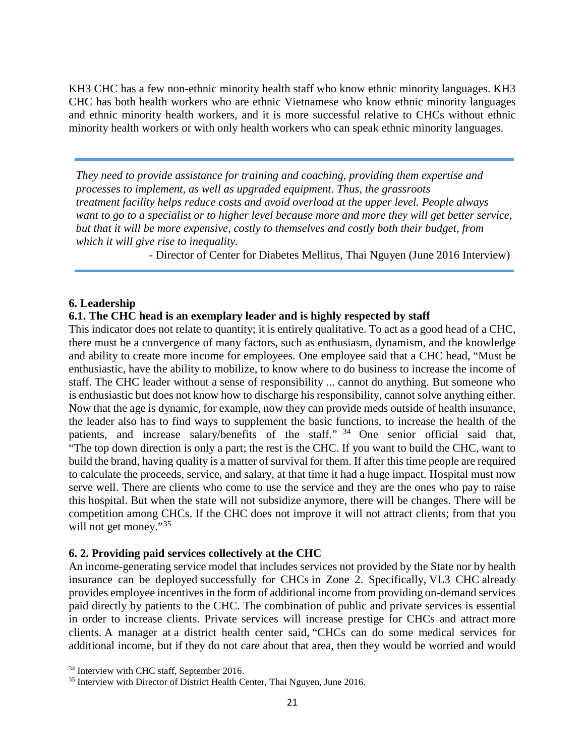KH3 CHC has a few non-ethnic minority health staff who know ethnic minority languages. KH3 CHC has both health workers who are ethnic Vietnamese who know ethnic minority languages and ethnic minority health workers, and it is more successful relative to CHCs without ethnic minority health workers or with only health workers who can speak ethnic minority languages.

*They need to provide assistance for training and coaching, providing them expertise and processes to implement, as well as upgraded equipment. Thus, the grassroots treatment facility helps reduce costs and avoid overload at the upper level. People always*  want to go to a specialist or to higher level because more and more they will get better service, *but that it will be more expensive, costly to themselves and costly both their budget, from which it will give rise to inequality.*

- Director of Center for Diabetes Mellitus, Thai Nguyen (June 2016 Interview)

# **6. Leadership**

#### **6.1. The CHC head is an exemplary leader and is highly respected by staff**

This indicator does not relate to quantity; it is entirely qualitative. To act as a good head of a CHC, there must be a convergence of many factors, such as enthusiasm, dynamism, and the knowledge and ability to create more income for employees. One employee said that a CHC head, "Must be enthusiastic, have the ability to mobilize, to know where to do business to increase the income of staff. The CHC leader without a sense of responsibility ... cannot do anything. But someone who is enthusiastic but does not know how to discharge his responsibility, cannot solve anything either. Now that the age is dynamic, for example, now they can provide meds outside of health insurance, the leader also has to find ways to supplement the basic functions, to increase the health of the patients, and increase salary/benefits of the staff." <sup>[34](#page-22-0)</sup> One senior official said that, "The top down direction is only a part; the rest is the CHC. If you want to build the CHC, want to build the brand, having quality is a matter of survival for them. If after this time people are required to calculate the proceeds, service, and salary, at that time it had a huge impact. Hospital must now serve well. There are clients who come to use the service and they are the ones who pay to raise this hospital. But when the state will not subsidize anymore, there will be changes. There will be competition among CHCs. If the CHC does not improve it will not attract clients; from that you will not get money."<sup>[35](#page-22-1)</sup>

#### **6. 2. Providing paid services collectively at the CHC**

An income-generating service model that includes services not provided by the State nor by health insurance can be deployed successfully for CHCs in Zone 2. Specifically, VL3 CHC already provides employee incentives in the form of additional income from providing on-demand services paid directly by patients to the CHC. The combination of public and private services is essential in order to increase clients. Private services will increase prestige for CHCs and attract more clients. A manager at a district health center said, "CHCs can do some medical services for additional income, but if they do not care about that area, then they would be worried and would

l

<span id="page-22-0"></span><sup>&</sup>lt;sup>34</sup> Interview with CHC staff, September 2016.

<span id="page-22-1"></span><sup>&</sup>lt;sup>35</sup> Interview with Director of District Health Center, Thai Nguyen, June 2016.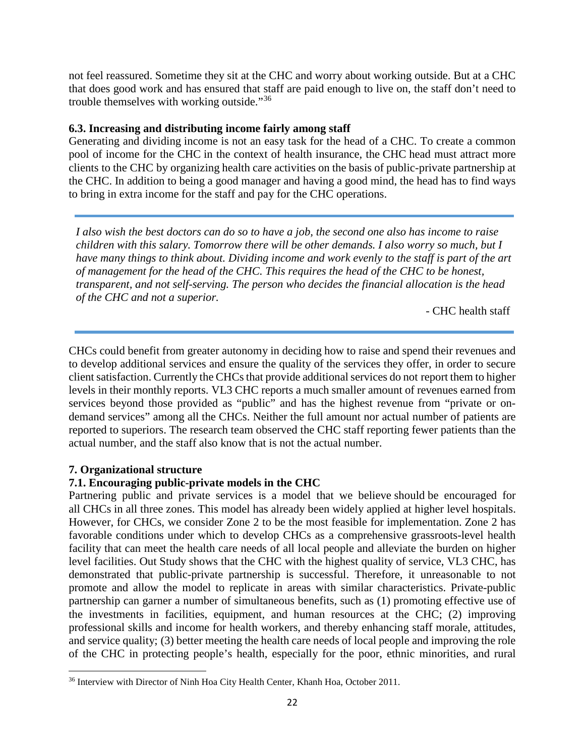not feel reassured. Sometime they sit at the CHC and worry about working outside. But at a CHC that does good work and has ensured that staff are paid enough to live on, the staff don't need to trouble themselves with working outside."[36](#page-23-0)

#### **6.3. Increasing and distributing income fairly among staff**

Generating and dividing income is not an easy task for the head of a CHC. To create a common pool of income for the CHC in the context of health insurance, the CHC head must attract more clients to the CHC by organizing health care activities on the basis of public-private partnership at the CHC. In addition to being a good manager and having a good mind, the head has to find ways to bring in extra income for the staff and pay for the CHC operations.

*I also wish the best doctors can do so to have a job, the second one also has income to raise children with this salary. Tomorrow there will be other demands. I also worry so much, but I have many things to think about. Dividing income and work evenly to the staff is part of the art of management for the head of the CHC. This requires the head of the CHC to be honest, transparent, and not self-serving. The person who decides the financial allocation is the head of the CHC and not a superior.*

- CHC health staff

CHCs could benefit from greater autonomy in deciding how to raise and spend their revenues and to develop additional services and ensure the quality of the services they offer, in order to secure client satisfaction. Currently the CHCs that provide additional services do not report them to higher levels in their monthly reports. VL3 CHC reports a much smaller amount of revenues earned from services beyond those provided as "public" and has the highest revenue from "private or ondemand services" among all the CHCs. Neither the full amount nor actual number of patients are reported to superiors. The research team observed the CHC staff reporting fewer patients than the actual number, and the staff also know that is not the actual number.

#### **7. Organizational structure**

l

#### **7.1. Encouraging public-private models in the CHC**

Partnering public and private services is a model that we believe should be encouraged for all CHCs in all three zones. This model has already been widely applied at higher level hospitals. However, for CHCs, we consider Zone 2 to be the most feasible for implementation. Zone 2 has favorable conditions under which to develop CHCs as a comprehensive grassroots-level health facility that can meet the health care needs of all local people and alleviate the burden on higher level facilities. Out Study shows that the CHC with the highest quality of service, VL3 CHC, has demonstrated that public-private partnership is successful. Therefore, it unreasonable to not promote and allow the model to replicate in areas with similar characteristics. Private-public partnership can garner a number of simultaneous benefits, such as (1) promoting effective use of the investments in facilities, equipment, and human resources at the CHC; (2) improving professional skills and income for health workers, and thereby enhancing staff morale, attitudes, and service quality; (3) better meeting the health care needs of local people and improving the role of the CHC in protecting people's health, especially for the poor, ethnic minorities, and rural

<span id="page-23-0"></span><sup>&</sup>lt;sup>36</sup> Interview with Director of Ninh Hoa City Health Center, Khanh Hoa, October 2011.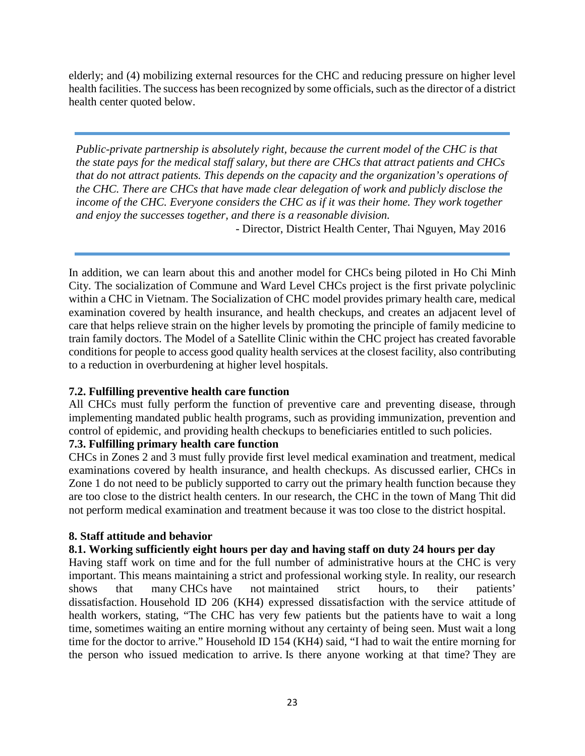elderly; and (4) mobilizing external resources for the CHC and reducing pressure on higher level health facilities. The success has been recognized by some officials, such as the director of a district health center quoted below.

*Public-private partnership is absolutely right, because the current model of the CHC is that the state pays for the medical staff salary, but there are CHCs that attract patients and CHCs that do not attract patients. This depends on the capacity and the organization's operations of the CHC. There are CHCs that have made clear delegation of work and publicly disclose the income of the CHC. Everyone considers the CHC as if it was their home. They work together and enjoy the successes together, and there is a reasonable division.*

- Director, District Health Center, Thai Nguyen, May 2016

In addition, we can learn about this and another model for CHCs being piloted in Ho Chi Minh City. The socialization of Commune and Ward Level CHCs project is the first private polyclinic within a CHC in Vietnam. The Socialization of CHC model provides primary health care, medical examination covered by health insurance, and health checkups, and creates an adjacent level of care that helps relieve strain on the higher levels by promoting the principle of family medicine to train family doctors. The Model of a Satellite Clinic within the CHC project has created favorable conditions for people to access good quality health services at the closest facility, also contributing to a reduction in overburdening at higher level hospitals.

# **7.2. Fulfilling preventive health care function**

All CHCs must fully perform the function of preventive care and preventing disease, through implementing mandated public health programs, such as providing immunization, prevention and control of epidemic, and providing health checkups to beneficiaries entitled to such policies.

# **7.3. Fulfilling primary health care function**

CHCs in Zones 2 and 3 must fully provide first level medical examination and treatment, medical examinations covered by health insurance, and health checkups. As discussed earlier, CHCs in Zone 1 do not need to be publicly supported to carry out the primary health function because they are too close to the district health centers. In our research, the CHC in the town of Mang Thit did not perform medical examination and treatment because it was too close to the district hospital.

#### **8. Staff attitude and behavior**

# **8.1. Working sufficiently eight hours per day and having staff on duty 24 hours per day**

Having staff work on time and for the full number of administrative hours at the CHC is very important. This means maintaining a strict and professional working style. In reality, our research shows that many CHCs have not maintained strict hours, to their patients' dissatisfaction. Household ID 206 (KH4) expressed dissatisfaction with the service attitude of health workers, stating, "The CHC has very few patients but the patients have to wait a long time, sometimes waiting an entire morning without any certainty of being seen. Must wait a long time for the doctor to arrive." Household ID 154 (KH4) said, "I had to wait the entire morning for the person who issued medication to arrive. Is there anyone working at that time? They are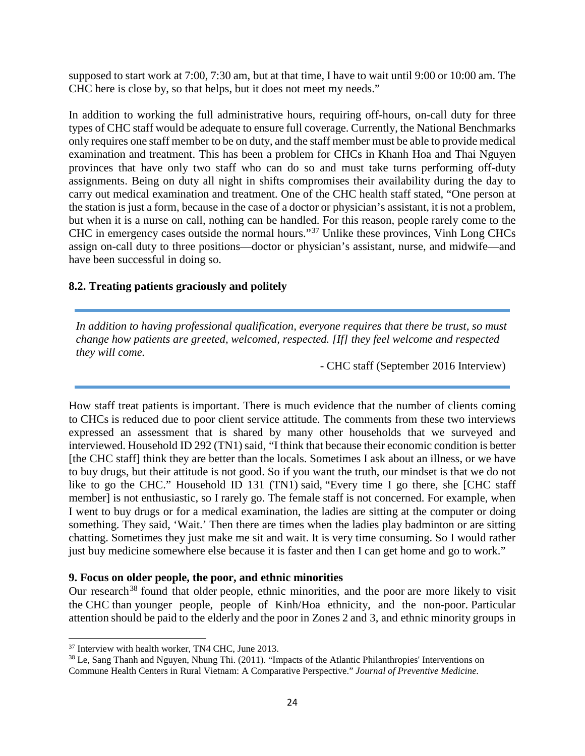supposed to start work at 7:00, 7:30 am, but at that time, I have to wait until 9:00 or 10:00 am. The CHC here is close by, so that helps, but it does not meet my needs."

In addition to working the full administrative hours, requiring off-hours, on-call duty for three types of CHC staff would be adequate to ensure full coverage. Currently, the National Benchmarks only requires one staff member to be on duty, and the staff member must be able to provide medical examination and treatment. This has been a problem for CHCs in Khanh Hoa and Thai Nguyen provinces that have only two staff who can do so and must take turns performing off-duty assignments. Being on duty all night in shifts compromises their availability during the day to carry out medical examination and treatment. One of the CHC health staff stated, "One person at the station is just a form, because in the case of a doctor or physician's assistant, it is not a problem, but when it is a nurse on call, nothing can be handled. For this reason, people rarely come to the CHC in emergency cases outside the normal hours."[37](#page-25-0) Unlike these provinces, Vinh Long CHCs assign on-call duty to three positions—doctor or physician's assistant, nurse, and midwife—and have been successful in doing so.

# **8.2. Treating patients graciously and politely**

*In addition to having professional qualification, everyone requires that there be trust, so must change how patients are greeted, welcomed, respected. [If] they feel welcome and respected they will come.* 

- CHC staff (September 2016 Interview)

How staff treat patients is important. There is much evidence that the number of clients coming to CHCs is reduced due to poor client service attitude. The comments from these two interviews expressed an assessment that is shared by many other households that we surveyed and interviewed. Household ID 292 (TN1) said, "I think that because their economic condition is better [the CHC staff] think they are better than the locals. Sometimes I ask about an illness, or we have to buy drugs, but their attitude is not good. So if you want the truth, our mindset is that we do not like to go the CHC." Household ID 131 (TN1) said, "Every time I go there, she [CHC staff member] is not enthusiastic, so I rarely go. The female staff is not concerned. For example, when I went to buy drugs or for a medical examination, the ladies are sitting at the computer or doing something. They said, 'Wait.' Then there are times when the ladies play badminton or are sitting chatting. Sometimes they just make me sit and wait. It is very time consuming. So I would rather just buy medicine somewhere else because it is faster and then I can get home and go to work."

#### **9. Focus on older people, the poor, and ethnic minorities**

Our research<sup>[38](#page-25-1)</sup> found that older people, ethnic minorities, and the poor are more likely to visit the CHC than younger people, people of Kinh/Hoa ethnicity, and the non-poor. Particular attention should be paid to the elderly and the poor in Zones 2 and 3, and ethnic minority groups in

l

<span id="page-25-0"></span><sup>37</sup> Interview with health worker, TN4 CHC, June 2013.

<span id="page-25-1"></span><sup>38</sup> Le, Sang Thanh and Nguyen, Nhung Thi. (2011). "Impacts of the Atlantic Philanthropies' Interventions on Commune Health Centers in Rural Vietnam: A Comparative Perspective." *Journal of Preventive Medicine.*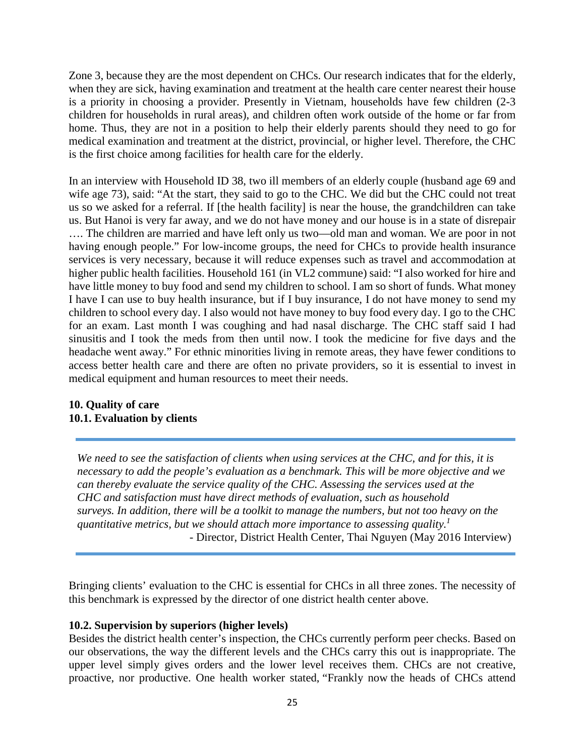Zone 3, because they are the most dependent on CHCs. Our research indicates that for the elderly, when they are sick, having examination and treatment at the health care center nearest their house is a priority in choosing a provider. Presently in Vietnam, households have few children (2-3 children for households in rural areas), and children often work outside of the home or far from home. Thus, they are not in a position to help their elderly parents should they need to go for medical examination and treatment at the district, provincial, or higher level. Therefore, the CHC is the first choice among facilities for health care for the elderly.

In an interview with Household ID 38, two ill members of an elderly couple (husband age 69 and wife age 73), said: "At the start, they said to go to the CHC. We did but the CHC could not treat us so we asked for a referral. If [the health facility] is near the house, the grandchildren can take us. But Hanoi is very far away, and we do not have money and our house is in a state of disrepair …. The children are married and have left only us two—old man and woman. We are poor in not having enough people." For low-income groups, the need for CHCs to provide health insurance services is very necessary, because it will reduce expenses such as travel and accommodation at higher public health facilities. Household 161 (in VL2 commune) said: "I also worked for hire and have little money to buy food and send my children to school. I am so short of funds. What money I have I can use to buy health insurance, but if I buy insurance, I do not have money to send my children to school every day. I also would not have money to buy food every day. I go to the CHC for an exam. Last month I was coughing and had nasal discharge. The CHC staff said I had sinusitis and I took the meds from then until now. I took the medicine for five days and the headache went away." For ethnic minorities living in remote areas, they have fewer conditions to access better health care and there are often no private providers, so it is essential to invest in medical equipment and human resources to meet their needs.

#### **10. Quality of care 10.1. Evaluation by clients**

*We need to see the satisfaction of clients when using services at the CHC, and for this, it is necessary to add the people's evaluation as a benchmark. This will be more objective and we can thereby evaluate the service quality of the CHC. Assessing the services used at the CHC and satisfaction must have direct methods of evaluation, such as household surveys. In addition, there will be a toolkit to manage the numbers, but not too heavy on the quantitative metrics, but we should attach more importance to assessing quality.1* - Director, District Health Center, Thai Nguyen (May 2016 Interview)

Bringing clients' evaluation to the CHC is essential for CHCs in all three zones. The necessity of this benchmark is expressed by the director of one district health center above.

#### **10.2. Supervision by superiors (higher levels)**

Besides the district health center's inspection, the CHCs currently perform peer checks. Based on our observations, the way the different levels and the CHCs carry this out is inappropriate. The upper level simply gives orders and the lower level receives them. CHCs are not creative, proactive, nor productive. One health worker stated, "Frankly now the heads of CHCs attend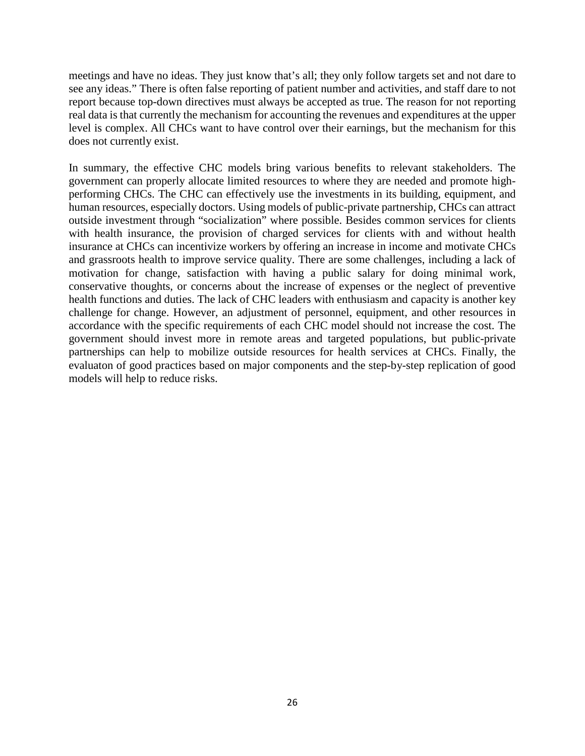meetings and have no ideas. They just know that's all; they only follow targets set and not dare to see any ideas." There is often false reporting of patient number and activities, and staff dare to not report because top-down directives must always be accepted as true. The reason for not reporting real data is that currently the mechanism for accounting the revenues and expenditures at the upper level is complex. All CHCs want to have control over their earnings, but the mechanism for this does not currently exist.

In summary, the effective CHC models bring various benefits to relevant stakeholders. The government can properly allocate limited resources to where they are needed and promote highperforming CHCs. The CHC can effectively use the investments in its building, equipment, and human resources, especially doctors. Using models of public-private partnership, CHCs can attract outside investment through "socialization" where possible. Besides common services for clients with health insurance, the provision of charged services for clients with and without health insurance at CHCs can incentivize workers by offering an increase in income and motivate CHCs and grassroots health to improve service quality. There are some challenges, including a lack of motivation for change, satisfaction with having a public salary for doing minimal work, conservative thoughts, or concerns about the increase of expenses or the neglect of preventive health functions and duties. The lack of CHC leaders with enthusiasm and capacity is another key challenge for change. However, an adjustment of personnel, equipment, and other resources in accordance with the specific requirements of each CHC model should not increase the cost. The government should invest more in remote areas and targeted populations, but public-private partnerships can help to mobilize outside resources for health services at CHCs. Finally, the evaluaton of good practices based on major components and the step-by-step replication of good models will help to reduce risks.